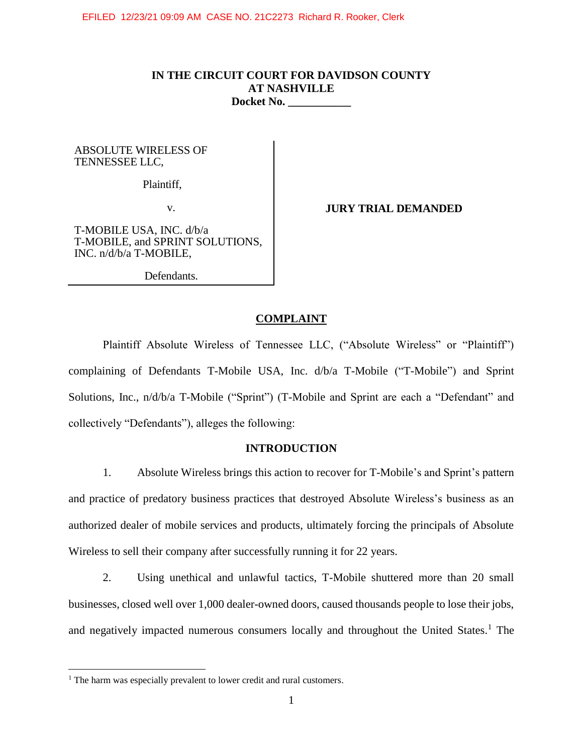# **IN THE CIRCUIT COURT FOR DAVIDSON COUNTY AT NASHVILLE Docket No. \_\_\_\_\_\_\_\_\_\_\_**

ABSOLUTE WIRELESS OF TENNESSEE LLC,

Plaintiff,

v.

**JURY TRIAL DEMANDED**

T-MOBILE USA, INC. d/b/a T-MOBILE, and SPRINT SOLUTIONS, INC. n/d/b/a T-MOBILE,

Defendants.

### **COMPLAINT**

Plaintiff Absolute Wireless of Tennessee LLC, ("Absolute Wireless" or "Plaintiff") complaining of Defendants T-Mobile USA, Inc. d/b/a T-Mobile ("T-Mobile") and Sprint Solutions, Inc., n/d/b/a T-Mobile ("Sprint") (T-Mobile and Sprint are each a "Defendant" and collectively "Defendants"), alleges the following:

### **INTRODUCTION**

1. Absolute Wireless brings this action to recover for T-Mobile's and Sprint's pattern and practice of predatory business practices that destroyed Absolute Wireless's business as an authorized dealer of mobile services and products, ultimately forcing the principals of Absolute Wireless to sell their company after successfully running it for 22 years.

2. Using unethical and unlawful tactics, T-Mobile shuttered more than 20 small businesses, closed well over 1,000 dealer-owned doors, caused thousands people to lose their jobs, and negatively impacted numerous consumers locally and throughout the United States.<sup>1</sup> The

 $\overline{a}$ 

<sup>&</sup>lt;sup>1</sup> The harm was especially prevalent to lower credit and rural customers.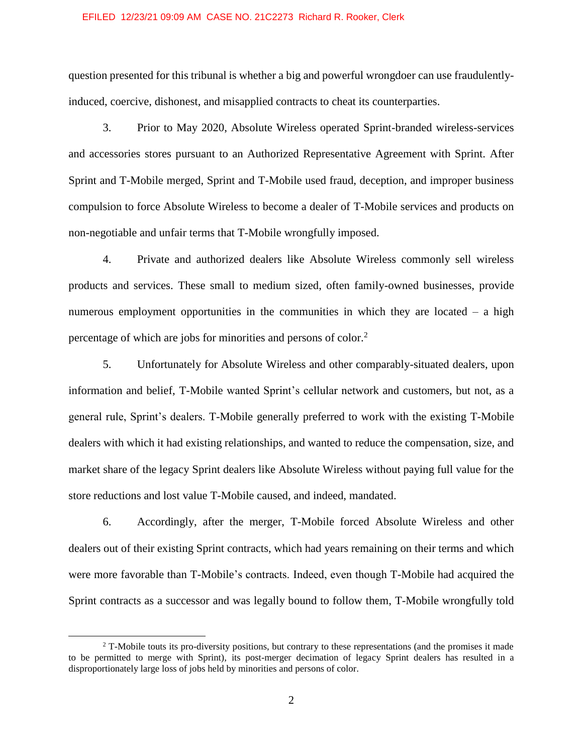question presented for this tribunal is whether a big and powerful wrongdoer can use fraudulentlyinduced, coercive, dishonest, and misapplied contracts to cheat its counterparties.

3. Prior to May 2020, Absolute Wireless operated Sprint-branded wireless-services and accessories stores pursuant to an Authorized Representative Agreement with Sprint. After Sprint and T-Mobile merged, Sprint and T-Mobile used fraud, deception, and improper business compulsion to force Absolute Wireless to become a dealer of T-Mobile services and products on non-negotiable and unfair terms that T-Mobile wrongfully imposed.

4. Private and authorized dealers like Absolute Wireless commonly sell wireless products and services. These small to medium sized, often family-owned businesses, provide numerous employment opportunities in the communities in which they are located – a high percentage of which are jobs for minorities and persons of color.<sup>2</sup>

5. Unfortunately for Absolute Wireless and other comparably-situated dealers, upon information and belief, T-Mobile wanted Sprint's cellular network and customers, but not, as a general rule, Sprint's dealers. T-Mobile generally preferred to work with the existing T-Mobile dealers with which it had existing relationships, and wanted to reduce the compensation, size, and market share of the legacy Sprint dealers like Absolute Wireless without paying full value for the store reductions and lost value T-Mobile caused, and indeed, mandated.

6. Accordingly, after the merger, T-Mobile forced Absolute Wireless and other dealers out of their existing Sprint contracts, which had years remaining on their terms and which were more favorable than T-Mobile's contracts. Indeed, even though T-Mobile had acquired the Sprint contracts as a successor and was legally bound to follow them, T-Mobile wrongfully told

 $\overline{a}$ 

<sup>&</sup>lt;sup>2</sup> T-Mobile touts its pro-diversity positions, but contrary to these representations (and the promises it made to be permitted to merge with Sprint), its post-merger decimation of legacy Sprint dealers has resulted in a disproportionately large loss of jobs held by minorities and persons of color.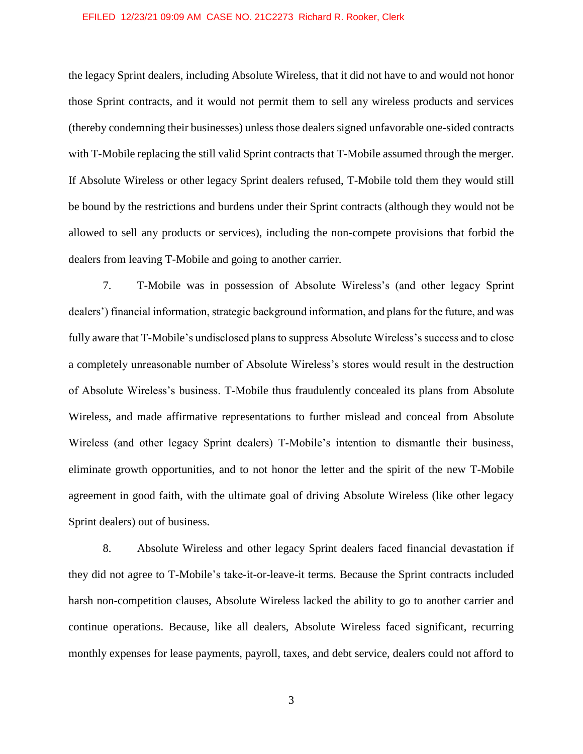the legacy Sprint dealers, including Absolute Wireless, that it did not have to and would not honor those Sprint contracts, and it would not permit them to sell any wireless products and services (thereby condemning their businesses) unless those dealers signed unfavorable one-sided contracts with T-Mobile replacing the still valid Sprint contracts that T-Mobile assumed through the merger. If Absolute Wireless or other legacy Sprint dealers refused, T-Mobile told them they would still be bound by the restrictions and burdens under their Sprint contracts (although they would not be allowed to sell any products or services), including the non-compete provisions that forbid the dealers from leaving T-Mobile and going to another carrier.

7. T-Mobile was in possession of Absolute Wireless's (and other legacy Sprint dealers') financial information, strategic background information, and plans for the future, and was fully aware that T-Mobile's undisclosed plans to suppress Absolute Wireless's success and to close a completely unreasonable number of Absolute Wireless's stores would result in the destruction of Absolute Wireless's business. T-Mobile thus fraudulently concealed its plans from Absolute Wireless, and made affirmative representations to further mislead and conceal from Absolute Wireless (and other legacy Sprint dealers) T-Mobile's intention to dismantle their business, eliminate growth opportunities, and to not honor the letter and the spirit of the new T-Mobile agreement in good faith, with the ultimate goal of driving Absolute Wireless (like other legacy Sprint dealers) out of business.

8. Absolute Wireless and other legacy Sprint dealers faced financial devastation if they did not agree to T-Mobile's take-it-or-leave-it terms. Because the Sprint contracts included harsh non-competition clauses, Absolute Wireless lacked the ability to go to another carrier and continue operations. Because, like all dealers, Absolute Wireless faced significant, recurring monthly expenses for lease payments, payroll, taxes, and debt service, dealers could not afford to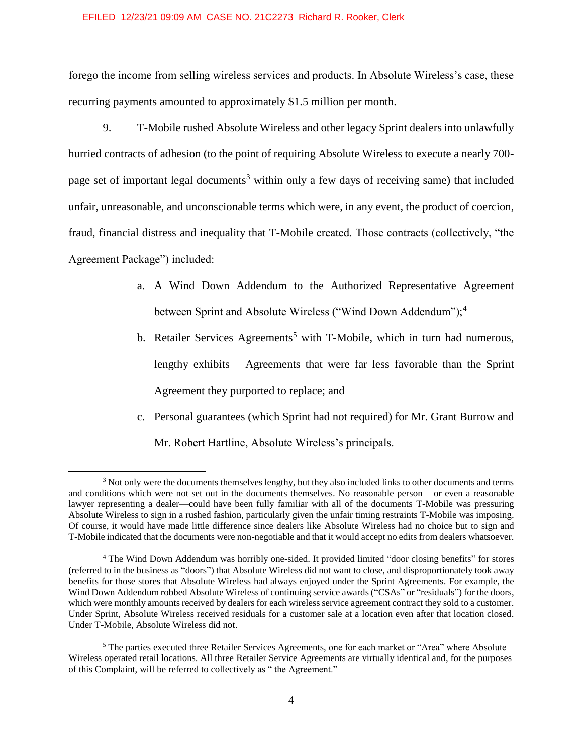forego the income from selling wireless services and products. In Absolute Wireless's case, these recurring payments amounted to approximately \$1.5 million per month.

9. T-Mobile rushed Absolute Wireless and other legacy Sprint dealers into unlawfully hurried contracts of adhesion (to the point of requiring Absolute Wireless to execute a nearly 700 page set of important legal documents<sup>3</sup> within only a few days of receiving same) that included unfair, unreasonable, and unconscionable terms which were, in any event, the product of coercion, fraud, financial distress and inequality that T-Mobile created. Those contracts (collectively, "the Agreement Package") included:

- a. A Wind Down Addendum to the Authorized Representative Agreement between Sprint and Absolute Wireless ("Wind Down Addendum");<sup>4</sup>
- b. Retailer Services Agreements<sup>5</sup> with T-Mobile, which in turn had numerous, lengthy exhibits – Agreements that were far less favorable than the Sprint Agreement they purported to replace; and
- c. Personal guarantees (which Sprint had not required) for Mr. Grant Burrow and Mr. Robert Hartline, Absolute Wireless's principals.

 $\overline{a}$ 

<sup>3</sup> Not only were the documents themselves lengthy, but they also included links to other documents and terms and conditions which were not set out in the documents themselves. No reasonable person – or even a reasonable lawyer representing a dealer—could have been fully familiar with all of the documents T-Mobile was pressuring Absolute Wireless to sign in a rushed fashion, particularly given the unfair timing restraints T-Mobile was imposing. Of course, it would have made little difference since dealers like Absolute Wireless had no choice but to sign and T-Mobile indicated that the documents were non-negotiable and that it would accept no edits from dealers whatsoever.

<sup>4</sup> The Wind Down Addendum was horribly one-sided. It provided limited "door closing benefits" for stores (referred to in the business as "doors") that Absolute Wireless did not want to close, and disproportionately took away benefits for those stores that Absolute Wireless had always enjoyed under the Sprint Agreements. For example, the Wind Down Addendum robbed Absolute Wireless of continuing service awards ("CSAs" or "residuals") for the doors, which were monthly amounts received by dealers for each wireless service agreement contract they sold to a customer. Under Sprint, Absolute Wireless received residuals for a customer sale at a location even after that location closed. Under T-Mobile, Absolute Wireless did not.

<sup>5</sup> The parties executed three Retailer Services Agreements, one for each market or "Area" where Absolute Wireless operated retail locations. All three Retailer Service Agreements are virtually identical and, for the purposes of this Complaint, will be referred to collectively as " the Agreement."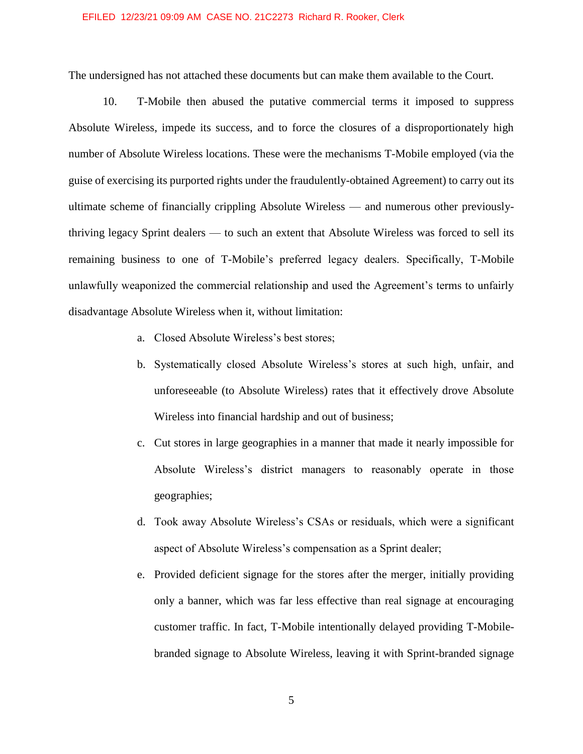The undersigned has not attached these documents but can make them available to the Court.

10. T-Mobile then abused the putative commercial terms it imposed to suppress Absolute Wireless, impede its success, and to force the closures of a disproportionately high number of Absolute Wireless locations. These were the mechanisms T-Mobile employed (via the guise of exercising its purported rights under the fraudulently-obtained Agreement) to carry out its ultimate scheme of financially crippling Absolute Wireless — and numerous other previouslythriving legacy Sprint dealers — to such an extent that Absolute Wireless was forced to sell its remaining business to one of T-Mobile's preferred legacy dealers. Specifically, T-Mobile unlawfully weaponized the commercial relationship and used the Agreement's terms to unfairly disadvantage Absolute Wireless when it, without limitation:

- a. Closed Absolute Wireless's best stores;
- b. Systematically closed Absolute Wireless's stores at such high, unfair, and unforeseeable (to Absolute Wireless) rates that it effectively drove Absolute Wireless into financial hardship and out of business;
- c. Cut stores in large geographies in a manner that made it nearly impossible for Absolute Wireless's district managers to reasonably operate in those geographies;
- d. Took away Absolute Wireless's CSAs or residuals, which were a significant aspect of Absolute Wireless's compensation as a Sprint dealer;
- e. Provided deficient signage for the stores after the merger, initially providing only a banner, which was far less effective than real signage at encouraging customer traffic. In fact, T-Mobile intentionally delayed providing T-Mobilebranded signage to Absolute Wireless, leaving it with Sprint-branded signage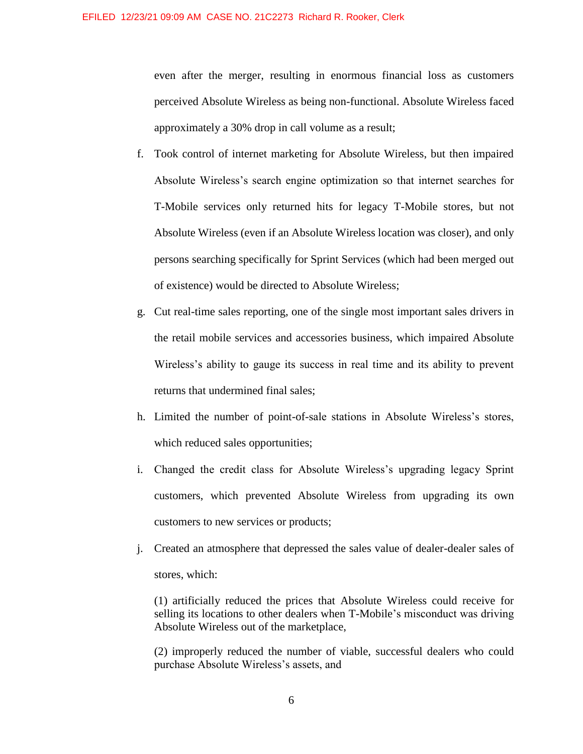even after the merger, resulting in enormous financial loss as customers perceived Absolute Wireless as being non-functional. Absolute Wireless faced approximately a 30% drop in call volume as a result;

- f. Took control of internet marketing for Absolute Wireless, but then impaired Absolute Wireless's search engine optimization so that internet searches for T-Mobile services only returned hits for legacy T-Mobile stores, but not Absolute Wireless (even if an Absolute Wireless location was closer), and only persons searching specifically for Sprint Services (which had been merged out of existence) would be directed to Absolute Wireless;
- g. Cut real-time sales reporting, one of the single most important sales drivers in the retail mobile services and accessories business, which impaired Absolute Wireless's ability to gauge its success in real time and its ability to prevent returns that undermined final sales;
- h. Limited the number of point-of-sale stations in Absolute Wireless's stores, which reduced sales opportunities;
- i. Changed the credit class for Absolute Wireless's upgrading legacy Sprint customers, which prevented Absolute Wireless from upgrading its own customers to new services or products;
- j. Created an atmosphere that depressed the sales value of dealer-dealer sales of stores, which:

(1) artificially reduced the prices that Absolute Wireless could receive for selling its locations to other dealers when T-Mobile's misconduct was driving Absolute Wireless out of the marketplace,

(2) improperly reduced the number of viable, successful dealers who could purchase Absolute Wireless's assets, and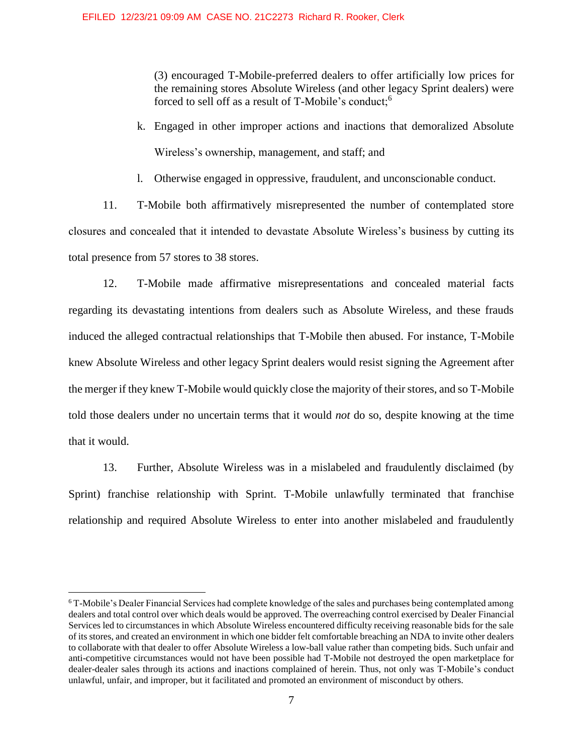(3) encouraged T-Mobile-preferred dealers to offer artificially low prices for the remaining stores Absolute Wireless (and other legacy Sprint dealers) were forced to sell off as a result of T-Mobile's conduct;<sup>6</sup>

- k. Engaged in other improper actions and inactions that demoralized Absolute Wireless's ownership, management, and staff; and
- l. Otherwise engaged in oppressive, fraudulent, and unconscionable conduct.

11. T-Mobile both affirmatively misrepresented the number of contemplated store closures and concealed that it intended to devastate Absolute Wireless's business by cutting its total presence from 57 stores to 38 stores.

12. T-Mobile made affirmative misrepresentations and concealed material facts regarding its devastating intentions from dealers such as Absolute Wireless, and these frauds induced the alleged contractual relationships that T-Mobile then abused. For instance, T-Mobile knew Absolute Wireless and other legacy Sprint dealers would resist signing the Agreement after the merger if they knew T-Mobile would quickly close the majority of their stores, and so T-Mobile told those dealers under no uncertain terms that it would *not* do so, despite knowing at the time that it would.

13. Further, Absolute Wireless was in a mislabeled and fraudulently disclaimed (by Sprint) franchise relationship with Sprint. T-Mobile unlawfully terminated that franchise relationship and required Absolute Wireless to enter into another mislabeled and fraudulently

 $\overline{a}$ 

<sup>6</sup> T-Mobile's Dealer Financial Services had complete knowledge of the sales and purchases being contemplated among dealers and total control over which deals would be approved. The overreaching control exercised by Dealer Financial Services led to circumstances in which Absolute Wireless encountered difficulty receiving reasonable bids for the sale of its stores, and created an environment in which one bidder felt comfortable breaching an NDA to invite other dealers to collaborate with that dealer to offer Absolute Wireless a low-ball value rather than competing bids. Such unfair and anti-competitive circumstances would not have been possible had T-Mobile not destroyed the open marketplace for dealer-dealer sales through its actions and inactions complained of herein. Thus, not only was T-Mobile's conduct unlawful, unfair, and improper, but it facilitated and promoted an environment of misconduct by others.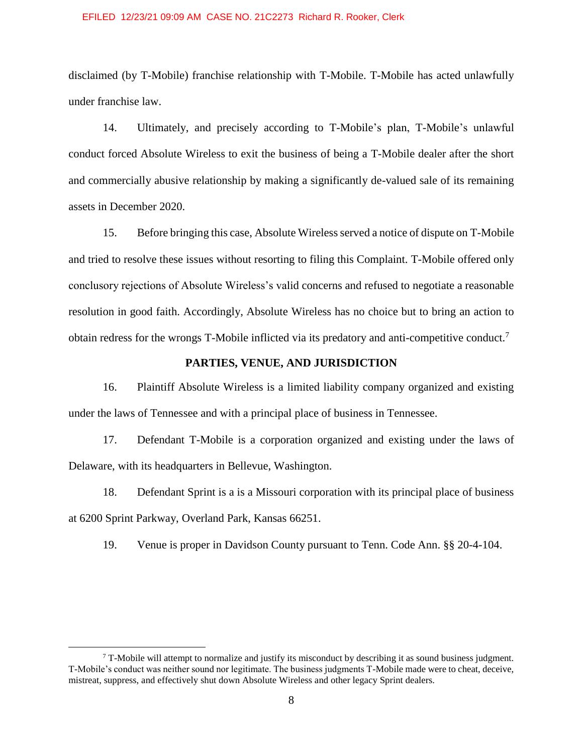disclaimed (by T-Mobile) franchise relationship with T-Mobile. T-Mobile has acted unlawfully under franchise law.

14. Ultimately, and precisely according to T-Mobile's plan, T-Mobile's unlawful conduct forced Absolute Wireless to exit the business of being a T-Mobile dealer after the short and commercially abusive relationship by making a significantly de-valued sale of its remaining assets in December 2020.

15. Before bringing this case, Absolute Wireless served a notice of dispute on T-Mobile and tried to resolve these issues without resorting to filing this Complaint. T-Mobile offered only conclusory rejections of Absolute Wireless's valid concerns and refused to negotiate a reasonable resolution in good faith. Accordingly, Absolute Wireless has no choice but to bring an action to obtain redress for the wrongs T-Mobile inflicted via its predatory and anti-competitive conduct.<sup>7</sup>

# **PARTIES, VENUE, AND JURISDICTION**

16. Plaintiff Absolute Wireless is a limited liability company organized and existing under the laws of Tennessee and with a principal place of business in Tennessee.

17. Defendant T-Mobile is a corporation organized and existing under the laws of Delaware, with its headquarters in Bellevue, Washington.

18. Defendant Sprint is a is a Missouri corporation with its principal place of business at 6200 Sprint Parkway, Overland Park, Kansas 66251.

19. Venue is proper in Davidson County pursuant to Tenn. Code Ann. §§ 20-4-104.

 $\overline{a}$ 

 $7$  T-Mobile will attempt to normalize and justify its misconduct by describing it as sound business judgment. T-Mobile's conduct was neither sound nor legitimate. The business judgments T-Mobile made were to cheat, deceive, mistreat, suppress, and effectively shut down Absolute Wireless and other legacy Sprint dealers.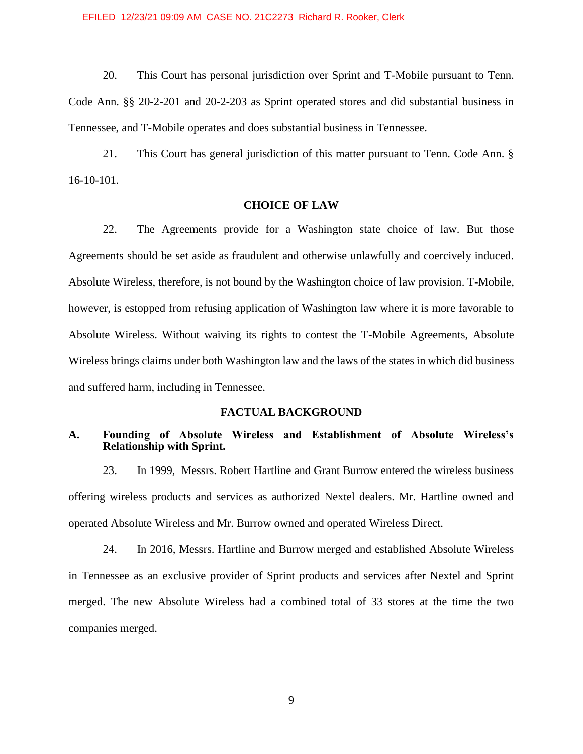20. This Court has personal jurisdiction over Sprint and T-Mobile pursuant to Tenn. Code Ann. §§ 20-2-201 and 20-2-203 as Sprint operated stores and did substantial business in Tennessee, and T-Mobile operates and does substantial business in Tennessee.

21. This Court has general jurisdiction of this matter pursuant to Tenn. Code Ann. § 16-10-101.

# **CHOICE OF LAW**

22. The Agreements provide for a Washington state choice of law. But those Agreements should be set aside as fraudulent and otherwise unlawfully and coercively induced. Absolute Wireless, therefore, is not bound by the Washington choice of law provision. T-Mobile, however, is estopped from refusing application of Washington law where it is more favorable to Absolute Wireless. Without waiving its rights to contest the T-Mobile Agreements, Absolute Wireless brings claims under both Washington law and the laws of the states in which did business and suffered harm, including in Tennessee.

### **FACTUAL BACKGROUND**

# **A. Founding of Absolute Wireless and Establishment of Absolute Wireless's Relationship with Sprint.**

23. In 1999, Messrs. Robert Hartline and Grant Burrow entered the wireless business offering wireless products and services as authorized Nextel dealers. Mr. Hartline owned and operated Absolute Wireless and Mr. Burrow owned and operated Wireless Direct.

24. In 2016, Messrs. Hartline and Burrow merged and established Absolute Wireless in Tennessee as an exclusive provider of Sprint products and services after Nextel and Sprint merged. The new Absolute Wireless had a combined total of 33 stores at the time the two companies merged.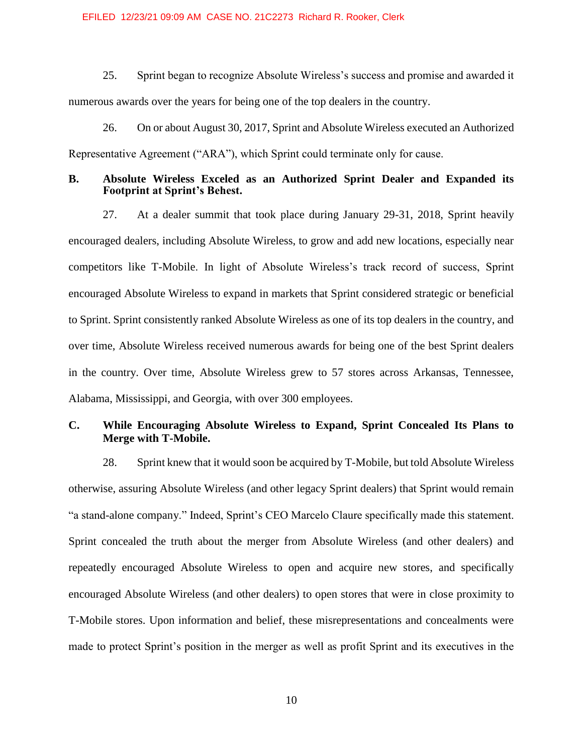25. Sprint began to recognize Absolute Wireless's success and promise and awarded it numerous awards over the years for being one of the top dealers in the country.

26. On or about August 30, 2017, Sprint and Absolute Wireless executed an Authorized Representative Agreement ("ARA"), which Sprint could terminate only for cause.

### **B. Absolute Wireless Exceled as an Authorized Sprint Dealer and Expanded its Footprint at Sprint's Behest.**

27. At a dealer summit that took place during January 29-31, 2018, Sprint heavily encouraged dealers, including Absolute Wireless, to grow and add new locations, especially near competitors like T-Mobile. In light of Absolute Wireless's track record of success, Sprint encouraged Absolute Wireless to expand in markets that Sprint considered strategic or beneficial to Sprint. Sprint consistently ranked Absolute Wireless as one of its top dealers in the country, and over time, Absolute Wireless received numerous awards for being one of the best Sprint dealers in the country. Over time, Absolute Wireless grew to 57 stores across Arkansas, Tennessee, Alabama, Mississippi, and Georgia, with over 300 employees.

# **C. While Encouraging Absolute Wireless to Expand, Sprint Concealed Its Plans to Merge with T-Mobile.**

28. Sprint knew that it would soon be acquired by T-Mobile, but told Absolute Wireless otherwise, assuring Absolute Wireless (and other legacy Sprint dealers) that Sprint would remain "a stand-alone company." Indeed, Sprint's CEO Marcelo Claure specifically made this statement. Sprint concealed the truth about the merger from Absolute Wireless (and other dealers) and repeatedly encouraged Absolute Wireless to open and acquire new stores, and specifically encouraged Absolute Wireless (and other dealers) to open stores that were in close proximity to T-Mobile stores. Upon information and belief, these misrepresentations and concealments were made to protect Sprint's position in the merger as well as profit Sprint and its executives in the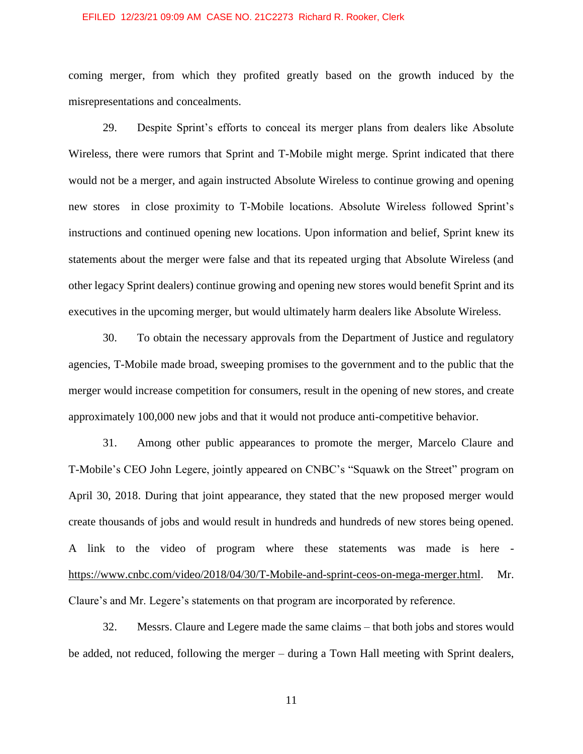coming merger, from which they profited greatly based on the growth induced by the misrepresentations and concealments.

29. Despite Sprint's efforts to conceal its merger plans from dealers like Absolute Wireless, there were rumors that Sprint and T-Mobile might merge. Sprint indicated that there would not be a merger, and again instructed Absolute Wireless to continue growing and opening new stores in close proximity to T-Mobile locations. Absolute Wireless followed Sprint's instructions and continued opening new locations. Upon information and belief, Sprint knew its statements about the merger were false and that its repeated urging that Absolute Wireless (and other legacy Sprint dealers) continue growing and opening new stores would benefit Sprint and its executives in the upcoming merger, but would ultimately harm dealers like Absolute Wireless.

30. To obtain the necessary approvals from the Department of Justice and regulatory agencies, T-Mobile made broad, sweeping promises to the government and to the public that the merger would increase competition for consumers, result in the opening of new stores, and create approximately 100,000 new jobs and that it would not produce anti-competitive behavior.

31. Among other public appearances to promote the merger, Marcelo Claure and T-Mobile's CEO John Legere, jointly appeared on CNBC's "Squawk on the Street" program on April 30, 2018. During that joint appearance, they stated that the new proposed merger would create thousands of jobs and would result in hundreds and hundreds of new stores being opened. A link to the video of program where these statements was made is here [https://www.cnbc.com/video/2018/04/30/T-Mobile-and-sprint-ceos-on-mega-merger.html.](https://www.cnbc.com/video/2018/04/30/t-mobile-and-sprint-ceos-on-mega-merger.html) Mr. Claure's and Mr. Legere's statements on that program are incorporated by reference.

32. Messrs. Claure and Legere made the same claims – that both jobs and stores would be added, not reduced, following the merger – during a Town Hall meeting with Sprint dealers,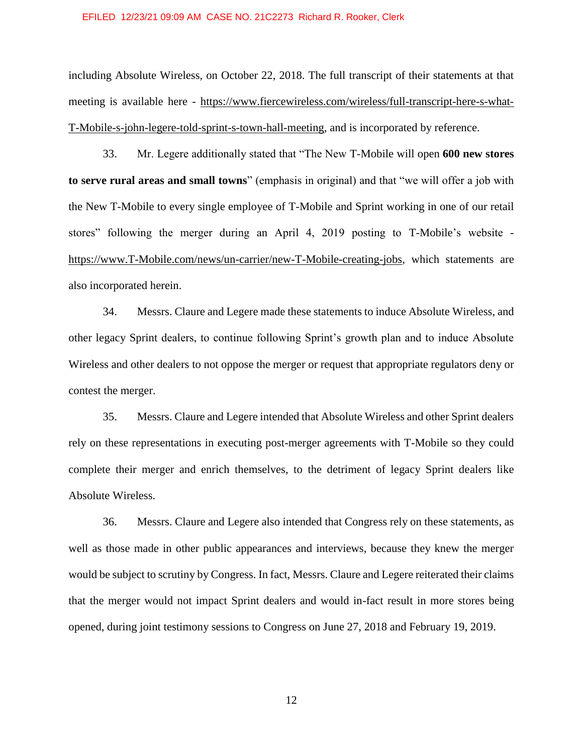including Absolute Wireless, on October 22, 2018. The full transcript of their statements at that meeting is available here - [https://www.fiercewireless.com/wireless/full-transcript-here-s-what-](https://www.fiercewireless.com/wireless/full-transcript-here-s-what-t-mobile-s-john-legere-told-sprint-s-town-hall-meeting)[T-Mobile-s-john-legere-told-sprint-s-town-hall-meeting,](https://www.fiercewireless.com/wireless/full-transcript-here-s-what-t-mobile-s-john-legere-told-sprint-s-town-hall-meeting) and is incorporated by reference.

33. Mr. Legere additionally stated that "The New T-Mobile will open **600 new stores to serve rural areas and small towns**" (emphasis in original) and that "we will offer a job with the New T-Mobile to every single employee of T-Mobile and Sprint working in one of our retail stores" following the merger during an April 4, 2019 posting to T-Mobile's website [https://www.T-Mobile.com/news/un-carrier/new-T-Mobile-creating-jobs,](https://www.t-mobile.com/news/un-carrier/new-t-mobile-creating-jobs) which statements are also incorporated herein.

34. Messrs. Claure and Legere made these statements to induce Absolute Wireless, and other legacy Sprint dealers, to continue following Sprint's growth plan and to induce Absolute Wireless and other dealers to not oppose the merger or request that appropriate regulators deny or contest the merger.

35. Messrs. Claure and Legere intended that Absolute Wireless and other Sprint dealers rely on these representations in executing post-merger agreements with T-Mobile so they could complete their merger and enrich themselves, to the detriment of legacy Sprint dealers like Absolute Wireless.

36. Messrs. Claure and Legere also intended that Congress rely on these statements, as well as those made in other public appearances and interviews, because they knew the merger would be subject to scrutiny by Congress. In fact, Messrs. Claure and Legere reiterated their claims that the merger would not impact Sprint dealers and would in-fact result in more stores being opened, during joint testimony sessions to Congress on June 27, 2018 and February 19, 2019.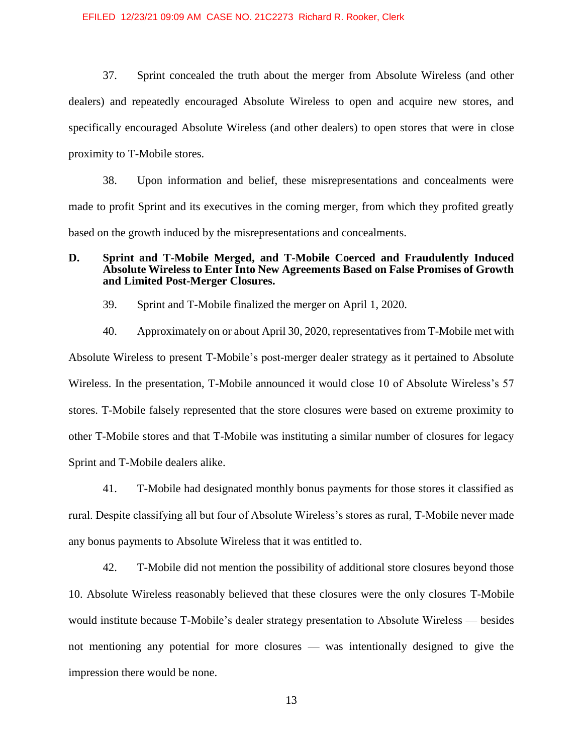37. Sprint concealed the truth about the merger from Absolute Wireless (and other dealers) and repeatedly encouraged Absolute Wireless to open and acquire new stores, and specifically encouraged Absolute Wireless (and other dealers) to open stores that were in close proximity to T-Mobile stores.

38. Upon information and belief, these misrepresentations and concealments were made to profit Sprint and its executives in the coming merger, from which they profited greatly based on the growth induced by the misrepresentations and concealments.

# **D. Sprint and T-Mobile Merged, and T-Mobile Coerced and Fraudulently Induced Absolute Wireless to Enter Into New Agreements Based on False Promises of Growth and Limited Post-Merger Closures.**

39. Sprint and T-Mobile finalized the merger on April 1, 2020.

40. Approximately on or about April 30, 2020, representatives from T-Mobile met with Absolute Wireless to present T-Mobile's post-merger dealer strategy as it pertained to Absolute Wireless. In the presentation, T-Mobile announced it would close 10 of Absolute Wireless's 57 stores. T-Mobile falsely represented that the store closures were based on extreme proximity to other T-Mobile stores and that T-Mobile was instituting a similar number of closures for legacy Sprint and T-Mobile dealers alike.

41. T-Mobile had designated monthly bonus payments for those stores it classified as rural. Despite classifying all but four of Absolute Wireless's stores as rural, T-Mobile never made any bonus payments to Absolute Wireless that it was entitled to.

42. T-Mobile did not mention the possibility of additional store closures beyond those 10. Absolute Wireless reasonably believed that these closures were the only closures T-Mobile would institute because T-Mobile's dealer strategy presentation to Absolute Wireless — besides not mentioning any potential for more closures — was intentionally designed to give the impression there would be none.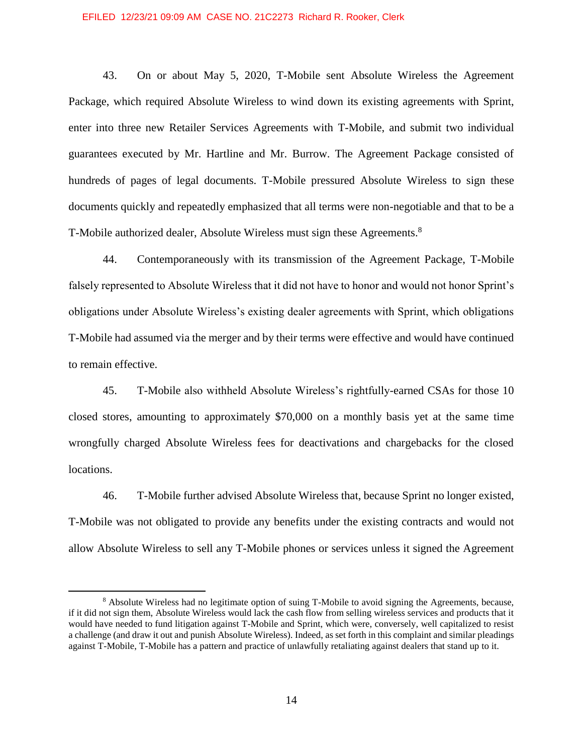43. On or about May 5, 2020, T-Mobile sent Absolute Wireless the Agreement Package, which required Absolute Wireless to wind down its existing agreements with Sprint, enter into three new Retailer Services Agreements with T-Mobile, and submit two individual guarantees executed by Mr. Hartline and Mr. Burrow. The Agreement Package consisted of hundreds of pages of legal documents. T-Mobile pressured Absolute Wireless to sign these documents quickly and repeatedly emphasized that all terms were non-negotiable and that to be a T-Mobile authorized dealer, Absolute Wireless must sign these Agreements.<sup>8</sup>

44. Contemporaneously with its transmission of the Agreement Package, T-Mobile falsely represented to Absolute Wireless that it did not have to honor and would not honor Sprint's obligations under Absolute Wireless's existing dealer agreements with Sprint, which obligations T-Mobile had assumed via the merger and by their terms were effective and would have continued to remain effective.

45. T-Mobile also withheld Absolute Wireless's rightfully-earned CSAs for those 10 closed stores, amounting to approximately \$70,000 on a monthly basis yet at the same time wrongfully charged Absolute Wireless fees for deactivations and chargebacks for the closed locations.

46. T-Mobile further advised Absolute Wireless that, because Sprint no longer existed, T-Mobile was not obligated to provide any benefits under the existing contracts and would not allow Absolute Wireless to sell any T-Mobile phones or services unless it signed the Agreement

 $\overline{a}$ 

<sup>8</sup> Absolute Wireless had no legitimate option of suing T-Mobile to avoid signing the Agreements, because, if it did not sign them, Absolute Wireless would lack the cash flow from selling wireless services and products that it would have needed to fund litigation against T-Mobile and Sprint, which were, conversely, well capitalized to resist a challenge (and draw it out and punish Absolute Wireless). Indeed, as set forth in this complaint and similar pleadings against T-Mobile, T-Mobile has a pattern and practice of unlawfully retaliating against dealers that stand up to it.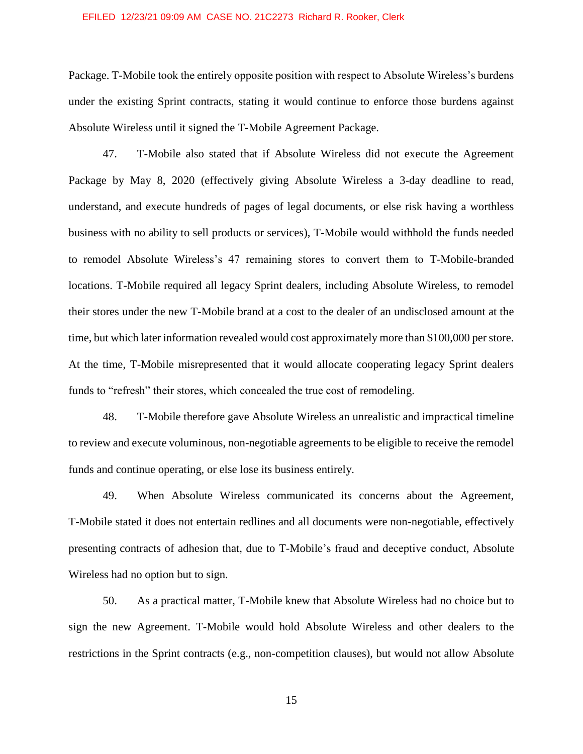Package. T-Mobile took the entirely opposite position with respect to Absolute Wireless's burdens under the existing Sprint contracts, stating it would continue to enforce those burdens against Absolute Wireless until it signed the T-Mobile Agreement Package.

47. T-Mobile also stated that if Absolute Wireless did not execute the Agreement Package by May 8, 2020 (effectively giving Absolute Wireless a 3-day deadline to read, understand, and execute hundreds of pages of legal documents, or else risk having a worthless business with no ability to sell products or services), T-Mobile would withhold the funds needed to remodel Absolute Wireless's 47 remaining stores to convert them to T-Mobile-branded locations. T-Mobile required all legacy Sprint dealers, including Absolute Wireless, to remodel their stores under the new T-Mobile brand at a cost to the dealer of an undisclosed amount at the time, but which later information revealed would cost approximately more than \$100,000 per store. At the time, T-Mobile misrepresented that it would allocate cooperating legacy Sprint dealers funds to "refresh" their stores, which concealed the true cost of remodeling.

48. T-Mobile therefore gave Absolute Wireless an unrealistic and impractical timeline to review and execute voluminous, non-negotiable agreements to be eligible to receive the remodel funds and continue operating, or else lose its business entirely.

49. When Absolute Wireless communicated its concerns about the Agreement, T-Mobile stated it does not entertain redlines and all documents were non-negotiable, effectively presenting contracts of adhesion that, due to T-Mobile's fraud and deceptive conduct, Absolute Wireless had no option but to sign.

50. As a practical matter, T-Mobile knew that Absolute Wireless had no choice but to sign the new Agreement. T-Mobile would hold Absolute Wireless and other dealers to the restrictions in the Sprint contracts (e.g., non-competition clauses), but would not allow Absolute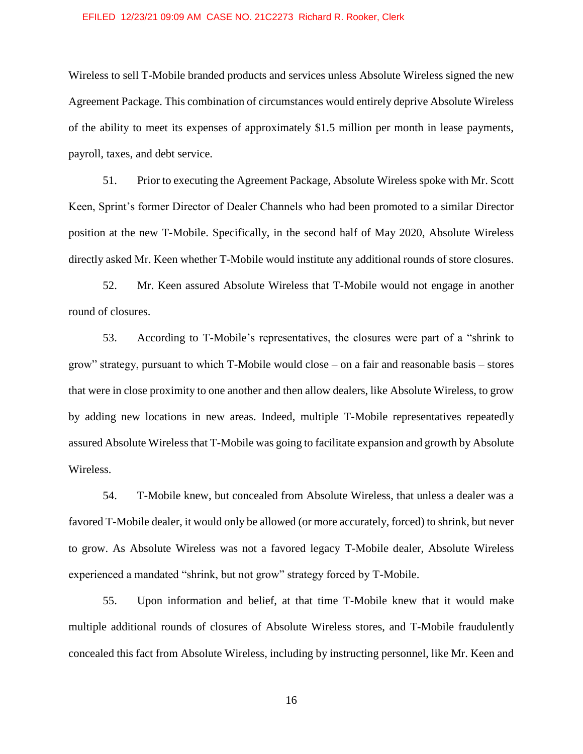Wireless to sell T-Mobile branded products and services unless Absolute Wireless signed the new Agreement Package. This combination of circumstances would entirely deprive Absolute Wireless of the ability to meet its expenses of approximately \$1.5 million per month in lease payments, payroll, taxes, and debt service.

51. Prior to executing the Agreement Package, Absolute Wireless spoke with Mr. Scott Keen, Sprint's former Director of Dealer Channels who had been promoted to a similar Director position at the new T-Mobile. Specifically, in the second half of May 2020, Absolute Wireless directly asked Mr. Keen whether T-Mobile would institute any additional rounds of store closures.

52. Mr. Keen assured Absolute Wireless that T-Mobile would not engage in another round of closures.

53. According to T-Mobile's representatives, the closures were part of a "shrink to grow" strategy, pursuant to which T-Mobile would close – on a fair and reasonable basis – stores that were in close proximity to one another and then allow dealers, like Absolute Wireless, to grow by adding new locations in new areas. Indeed, multiple T-Mobile representatives repeatedly assured Absolute Wireless that T-Mobile was going to facilitate expansion and growth by Absolute Wireless.

54. T-Mobile knew, but concealed from Absolute Wireless, that unless a dealer was a favored T-Mobile dealer, it would only be allowed (or more accurately, forced) to shrink, but never to grow. As Absolute Wireless was not a favored legacy T-Mobile dealer, Absolute Wireless experienced a mandated "shrink, but not grow" strategy forced by T-Mobile.

55. Upon information and belief, at that time T-Mobile knew that it would make multiple additional rounds of closures of Absolute Wireless stores, and T-Mobile fraudulently concealed this fact from Absolute Wireless, including by instructing personnel, like Mr. Keen and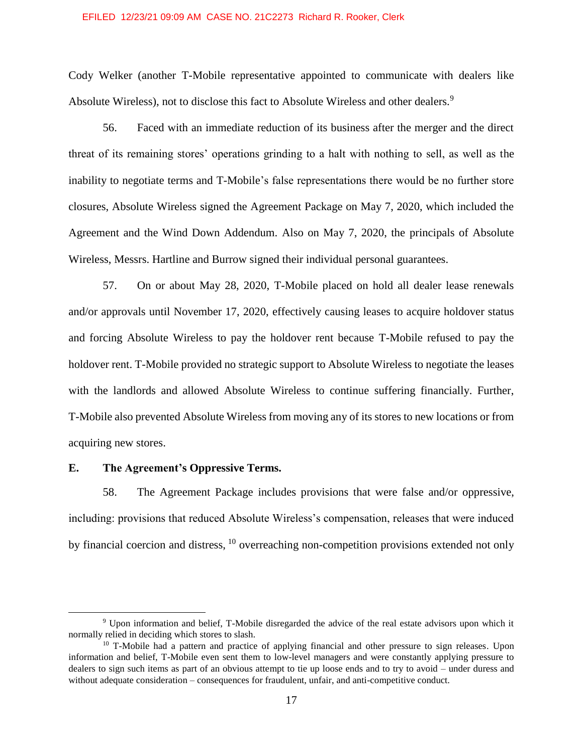Cody Welker (another T-Mobile representative appointed to communicate with dealers like Absolute Wireless), not to disclose this fact to Absolute Wireless and other dealers.<sup>9</sup>

56. Faced with an immediate reduction of its business after the merger and the direct threat of its remaining stores' operations grinding to a halt with nothing to sell, as well as the inability to negotiate terms and T-Mobile's false representations there would be no further store closures, Absolute Wireless signed the Agreement Package on May 7, 2020, which included the Agreement and the Wind Down Addendum. Also on May 7, 2020, the principals of Absolute Wireless, Messrs. Hartline and Burrow signed their individual personal guarantees.

57. On or about May 28, 2020, T-Mobile placed on hold all dealer lease renewals and/or approvals until November 17, 2020, effectively causing leases to acquire holdover status and forcing Absolute Wireless to pay the holdover rent because T-Mobile refused to pay the holdover rent. T-Mobile provided no strategic support to Absolute Wireless to negotiate the leases with the landlords and allowed Absolute Wireless to continue suffering financially. Further, T-Mobile also prevented Absolute Wireless from moving any of its stores to new locations or from acquiring new stores.

# **E. The Agreement's Oppressive Terms.**

 $\overline{a}$ 

58. The Agreement Package includes provisions that were false and/or oppressive, including: provisions that reduced Absolute Wireless's compensation, releases that were induced by financial coercion and distress,  $^{10}$  overreaching non-competition provisions extended not only

<sup>9</sup> Upon information and belief, T-Mobile disregarded the advice of the real estate advisors upon which it normally relied in deciding which stores to slash.

<sup>&</sup>lt;sup>10</sup> T-Mobile had a pattern and practice of applying financial and other pressure to sign releases. Upon information and belief, T-Mobile even sent them to low-level managers and were constantly applying pressure to dealers to sign such items as part of an obvious attempt to tie up loose ends and to try to avoid – under duress and without adequate consideration – consequences for fraudulent, unfair, and anti-competitive conduct.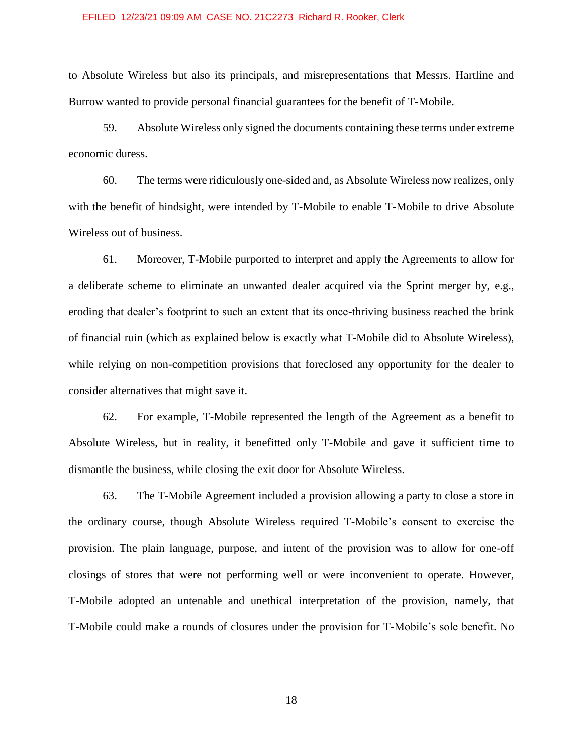to Absolute Wireless but also its principals, and misrepresentations that Messrs. Hartline and Burrow wanted to provide personal financial guarantees for the benefit of T-Mobile.

59. Absolute Wireless only signed the documents containing these terms under extreme economic duress.

60. The terms were ridiculously one-sided and, as Absolute Wireless now realizes, only with the benefit of hindsight, were intended by T-Mobile to enable T-Mobile to drive Absolute Wireless out of business.

61. Moreover, T-Mobile purported to interpret and apply the Agreements to allow for a deliberate scheme to eliminate an unwanted dealer acquired via the Sprint merger by, e.g., eroding that dealer's footprint to such an extent that its once-thriving business reached the brink of financial ruin (which as explained below is exactly what T-Mobile did to Absolute Wireless), while relying on non-competition provisions that foreclosed any opportunity for the dealer to consider alternatives that might save it.

62. For example, T-Mobile represented the length of the Agreement as a benefit to Absolute Wireless, but in reality, it benefitted only T-Mobile and gave it sufficient time to dismantle the business, while closing the exit door for Absolute Wireless.

63. The T-Mobile Agreement included a provision allowing a party to close a store in the ordinary course, though Absolute Wireless required T-Mobile's consent to exercise the provision. The plain language, purpose, and intent of the provision was to allow for one-off closings of stores that were not performing well or were inconvenient to operate. However, T-Mobile adopted an untenable and unethical interpretation of the provision, namely, that T-Mobile could make a rounds of closures under the provision for T-Mobile's sole benefit. No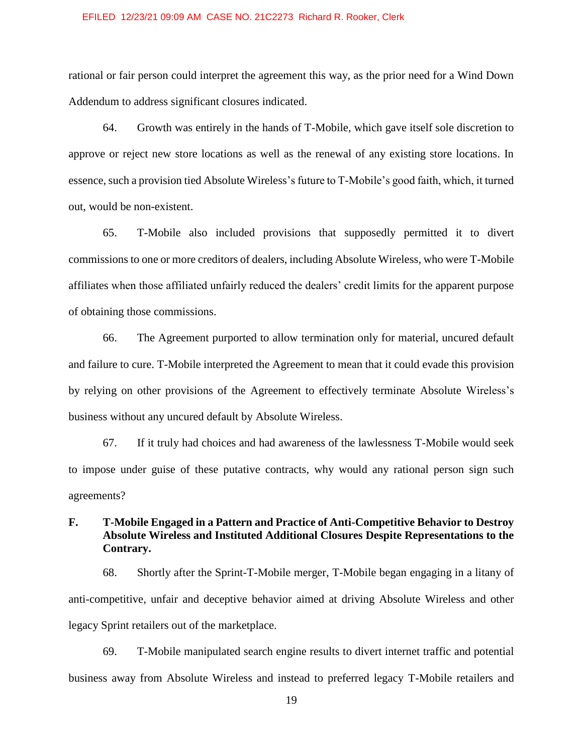rational or fair person could interpret the agreement this way, as the prior need for a Wind Down Addendum to address significant closures indicated.

64. Growth was entirely in the hands of T-Mobile, which gave itself sole discretion to approve or reject new store locations as well as the renewal of any existing store locations. In essence, such a provision tied Absolute Wireless's future to T-Mobile's good faith, which, it turned out, would be non-existent.

65. T-Mobile also included provisions that supposedly permitted it to divert commissions to one or more creditors of dealers, including Absolute Wireless, who were T-Mobile affiliates when those affiliated unfairly reduced the dealers' credit limits for the apparent purpose of obtaining those commissions.

66. The Agreement purported to allow termination only for material, uncured default and failure to cure. T-Mobile interpreted the Agreement to mean that it could evade this provision by relying on other provisions of the Agreement to effectively terminate Absolute Wireless's business without any uncured default by Absolute Wireless.

67. If it truly had choices and had awareness of the lawlessness T-Mobile would seek to impose under guise of these putative contracts, why would any rational person sign such agreements?

# **F. T-Mobile Engaged in a Pattern and Practice of Anti-Competitive Behavior to Destroy Absolute Wireless and Instituted Additional Closures Despite Representations to the Contrary.**

68. Shortly after the Sprint-T-Mobile merger, T-Mobile began engaging in a litany of anti-competitive, unfair and deceptive behavior aimed at driving Absolute Wireless and other legacy Sprint retailers out of the marketplace.

69. T-Mobile manipulated search engine results to divert internet traffic and potential business away from Absolute Wireless and instead to preferred legacy T-Mobile retailers and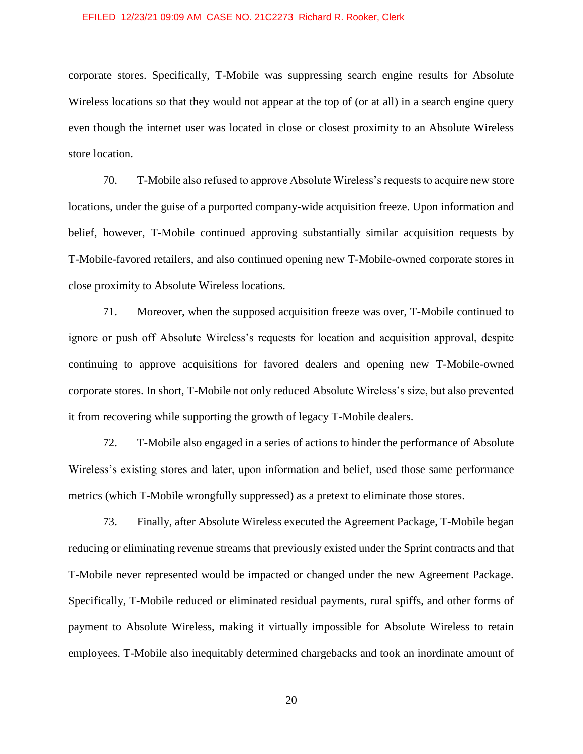corporate stores. Specifically, T-Mobile was suppressing search engine results for Absolute Wireless locations so that they would not appear at the top of (or at all) in a search engine query even though the internet user was located in close or closest proximity to an Absolute Wireless store location.

70. T-Mobile also refused to approve Absolute Wireless's requests to acquire new store locations, under the guise of a purported company-wide acquisition freeze. Upon information and belief, however, T-Mobile continued approving substantially similar acquisition requests by T-Mobile-favored retailers, and also continued opening new T-Mobile-owned corporate stores in close proximity to Absolute Wireless locations.

71. Moreover, when the supposed acquisition freeze was over, T-Mobile continued to ignore or push off Absolute Wireless's requests for location and acquisition approval, despite continuing to approve acquisitions for favored dealers and opening new T-Mobile-owned corporate stores. In short, T-Mobile not only reduced Absolute Wireless's size, but also prevented it from recovering while supporting the growth of legacy T-Mobile dealers.

72. T-Mobile also engaged in a series of actions to hinder the performance of Absolute Wireless's existing stores and later, upon information and belief, used those same performance metrics (which T-Mobile wrongfully suppressed) as a pretext to eliminate those stores.

73. Finally, after Absolute Wireless executed the Agreement Package, T-Mobile began reducing or eliminating revenue streams that previously existed under the Sprint contracts and that T-Mobile never represented would be impacted or changed under the new Agreement Package. Specifically, T-Mobile reduced or eliminated residual payments, rural spiffs, and other forms of payment to Absolute Wireless, making it virtually impossible for Absolute Wireless to retain employees. T-Mobile also inequitably determined chargebacks and took an inordinate amount of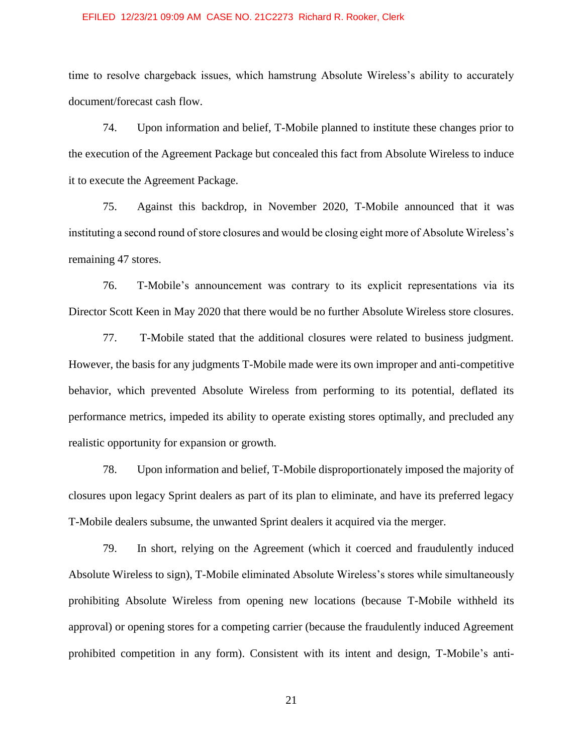time to resolve chargeback issues, which hamstrung Absolute Wireless's ability to accurately document/forecast cash flow.

74. Upon information and belief, T-Mobile planned to institute these changes prior to the execution of the Agreement Package but concealed this fact from Absolute Wireless to induce it to execute the Agreement Package.

75. Against this backdrop, in November 2020, T-Mobile announced that it was instituting a second round of store closures and would be closing eight more of Absolute Wireless's remaining 47 stores.

76. T-Mobile's announcement was contrary to its explicit representations via its Director Scott Keen in May 2020 that there would be no further Absolute Wireless store closures.

77. T-Mobile stated that the additional closures were related to business judgment. However, the basis for any judgments T-Mobile made were its own improper and anti-competitive behavior, which prevented Absolute Wireless from performing to its potential, deflated its performance metrics, impeded its ability to operate existing stores optimally, and precluded any realistic opportunity for expansion or growth.

78. Upon information and belief, T-Mobile disproportionately imposed the majority of closures upon legacy Sprint dealers as part of its plan to eliminate, and have its preferred legacy T-Mobile dealers subsume, the unwanted Sprint dealers it acquired via the merger.

79. In short, relying on the Agreement (which it coerced and fraudulently induced Absolute Wireless to sign), T-Mobile eliminated Absolute Wireless's stores while simultaneously prohibiting Absolute Wireless from opening new locations (because T-Mobile withheld its approval) or opening stores for a competing carrier (because the fraudulently induced Agreement prohibited competition in any form). Consistent with its intent and design, T-Mobile's anti-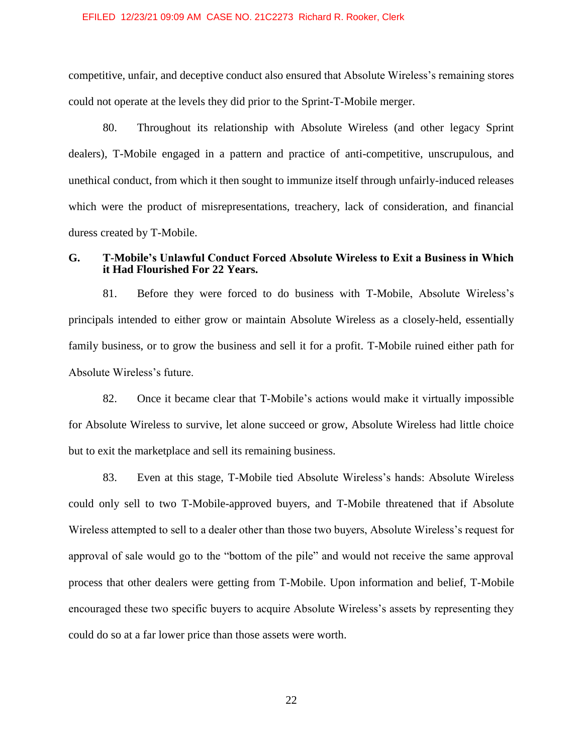competitive, unfair, and deceptive conduct also ensured that Absolute Wireless's remaining stores could not operate at the levels they did prior to the Sprint-T-Mobile merger.

80. Throughout its relationship with Absolute Wireless (and other legacy Sprint dealers), T-Mobile engaged in a pattern and practice of anti-competitive, unscrupulous, and unethical conduct, from which it then sought to immunize itself through unfairly-induced releases which were the product of misrepresentations, treachery, lack of consideration, and financial duress created by T-Mobile.

# **G. T-Mobile's Unlawful Conduct Forced Absolute Wireless to Exit a Business in Which it Had Flourished For 22 Years.**

81. Before they were forced to do business with T-Mobile, Absolute Wireless's principals intended to either grow or maintain Absolute Wireless as a closely-held, essentially family business, or to grow the business and sell it for a profit. T-Mobile ruined either path for Absolute Wireless's future.

82. Once it became clear that T-Mobile's actions would make it virtually impossible for Absolute Wireless to survive, let alone succeed or grow, Absolute Wireless had little choice but to exit the marketplace and sell its remaining business.

83. Even at this stage, T-Mobile tied Absolute Wireless's hands: Absolute Wireless could only sell to two T-Mobile-approved buyers, and T-Mobile threatened that if Absolute Wireless attempted to sell to a dealer other than those two buyers, Absolute Wireless's request for approval of sale would go to the "bottom of the pile" and would not receive the same approval process that other dealers were getting from T-Mobile. Upon information and belief, T-Mobile encouraged these two specific buyers to acquire Absolute Wireless's assets by representing they could do so at a far lower price than those assets were worth.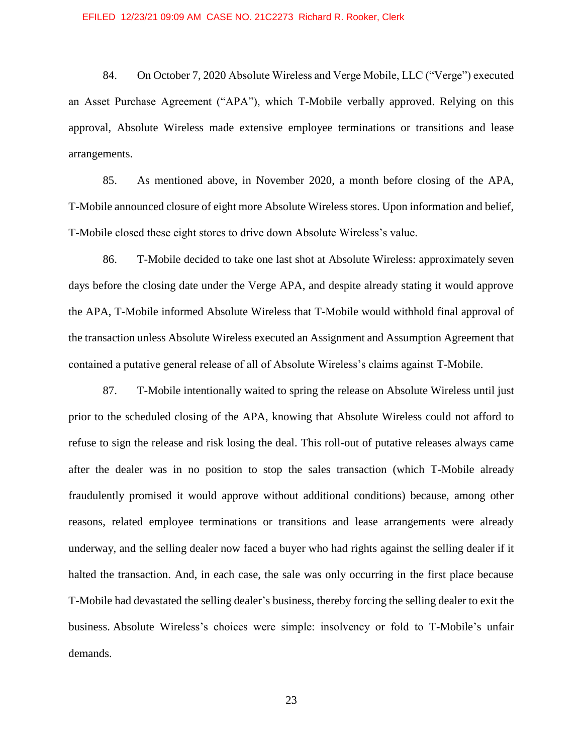84. On October 7, 2020 Absolute Wireless and Verge Mobile, LLC ("Verge") executed an Asset Purchase Agreement ("APA"), which T-Mobile verbally approved. Relying on this approval, Absolute Wireless made extensive employee terminations or transitions and lease arrangements.

85. As mentioned above, in November 2020, a month before closing of the APA, T-Mobile announced closure of eight more Absolute Wireless stores. Upon information and belief, T-Mobile closed these eight stores to drive down Absolute Wireless's value.

86. T-Mobile decided to take one last shot at Absolute Wireless: approximately seven days before the closing date under the Verge APA, and despite already stating it would approve the APA, T-Mobile informed Absolute Wireless that T-Mobile would withhold final approval of the transaction unless Absolute Wireless executed an Assignment and Assumption Agreement that contained a putative general release of all of Absolute Wireless's claims against T-Mobile.

87. T-Mobile intentionally waited to spring the release on Absolute Wireless until just prior to the scheduled closing of the APA, knowing that Absolute Wireless could not afford to refuse to sign the release and risk losing the deal. This roll-out of putative releases always came after the dealer was in no position to stop the sales transaction (which T-Mobile already fraudulently promised it would approve without additional conditions) because, among other reasons, related employee terminations or transitions and lease arrangements were already underway, and the selling dealer now faced a buyer who had rights against the selling dealer if it halted the transaction. And, in each case, the sale was only occurring in the first place because T-Mobile had devastated the selling dealer's business, thereby forcing the selling dealer to exit the business. Absolute Wireless's choices were simple: insolvency or fold to T-Mobile's unfair demands.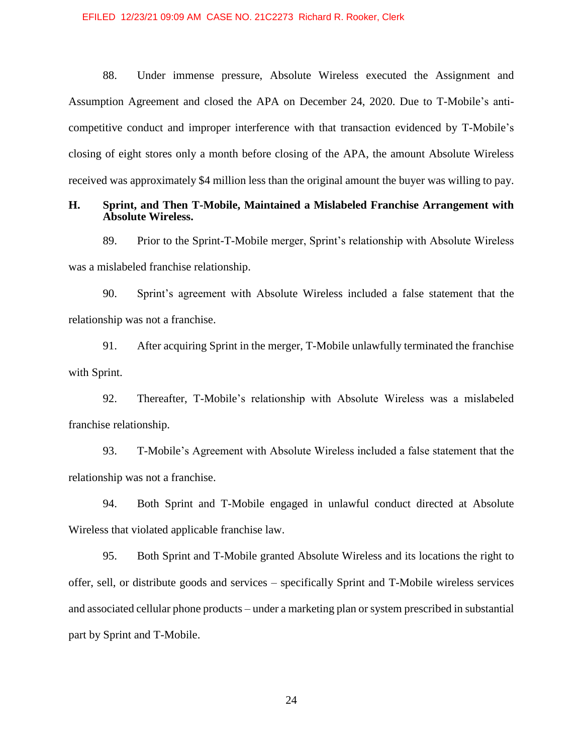88. Under immense pressure, Absolute Wireless executed the Assignment and Assumption Agreement and closed the APA on December 24, 2020. Due to T-Mobile's anticompetitive conduct and improper interference with that transaction evidenced by T-Mobile's closing of eight stores only a month before closing of the APA, the amount Absolute Wireless received was approximately \$4 million less than the original amount the buyer was willing to pay.

### **H. Sprint, and Then T-Mobile, Maintained a Mislabeled Franchise Arrangement with Absolute Wireless.**

89. Prior to the Sprint-T-Mobile merger, Sprint's relationship with Absolute Wireless was a mislabeled franchise relationship.

90. Sprint's agreement with Absolute Wireless included a false statement that the relationship was not a franchise.

91. After acquiring Sprint in the merger, T-Mobile unlawfully terminated the franchise with Sprint.

92. Thereafter, T-Mobile's relationship with Absolute Wireless was a mislabeled franchise relationship.

93. T-Mobile's Agreement with Absolute Wireless included a false statement that the relationship was not a franchise.

94. Both Sprint and T-Mobile engaged in unlawful conduct directed at Absolute Wireless that violated applicable franchise law.

95. Both Sprint and T-Mobile granted Absolute Wireless and its locations the right to offer, sell, or distribute goods and services – specifically Sprint and T-Mobile wireless services and associated cellular phone products – under a marketing plan or system prescribed in substantial part by Sprint and T-Mobile.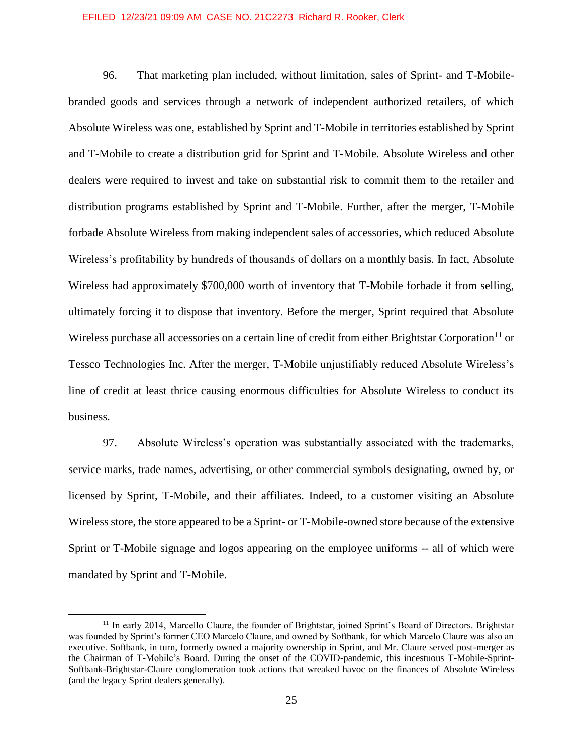96. That marketing plan included, without limitation, sales of Sprint- and T-Mobilebranded goods and services through a network of independent authorized retailers, of which Absolute Wireless was one, established by Sprint and T-Mobile in territories established by Sprint and T-Mobile to create a distribution grid for Sprint and T-Mobile. Absolute Wireless and other dealers were required to invest and take on substantial risk to commit them to the retailer and distribution programs established by Sprint and T-Mobile. Further, after the merger, T-Mobile forbade Absolute Wireless from making independent sales of accessories, which reduced Absolute Wireless's profitability by hundreds of thousands of dollars on a monthly basis. In fact, Absolute Wireless had approximately \$700,000 worth of inventory that T-Mobile forbade it from selling, ultimately forcing it to dispose that inventory. Before the merger, Sprint required that Absolute Wireless purchase all accessories on a certain line of credit from either Brightstar Corporation<sup>11</sup> or Tessco Technologies Inc. After the merger, T-Mobile unjustifiably reduced Absolute Wireless's line of credit at least thrice causing enormous difficulties for Absolute Wireless to conduct its business.

97. Absolute Wireless's operation was substantially associated with the trademarks, service marks, trade names, advertising, or other commercial symbols designating, owned by, or licensed by Sprint, T-Mobile, and their affiliates. Indeed, to a customer visiting an Absolute Wireless store, the store appeared to be a Sprint- or T-Mobile-owned store because of the extensive Sprint or T-Mobile signage and logos appearing on the employee uniforms -- all of which were mandated by Sprint and T-Mobile.

 $\overline{a}$ 

<sup>&</sup>lt;sup>11</sup> In early 2014, Marcello Claure, the founder of Brightstar, joined Sprint's Board of Directors. Brightstar was founded by Sprint's former CEO Marcelo Claure, and owned by Softbank, for which Marcelo Claure was also an executive. Softbank, in turn, formerly owned a majority ownership in Sprint, and Mr. Claure served post-merger as the Chairman of T-Mobile's Board. During the onset of the COVID-pandemic, this incestuous T-Mobile-Sprint-Softbank-Brightstar-Claure conglomeration took actions that wreaked havoc on the finances of Absolute Wireless (and the legacy Sprint dealers generally).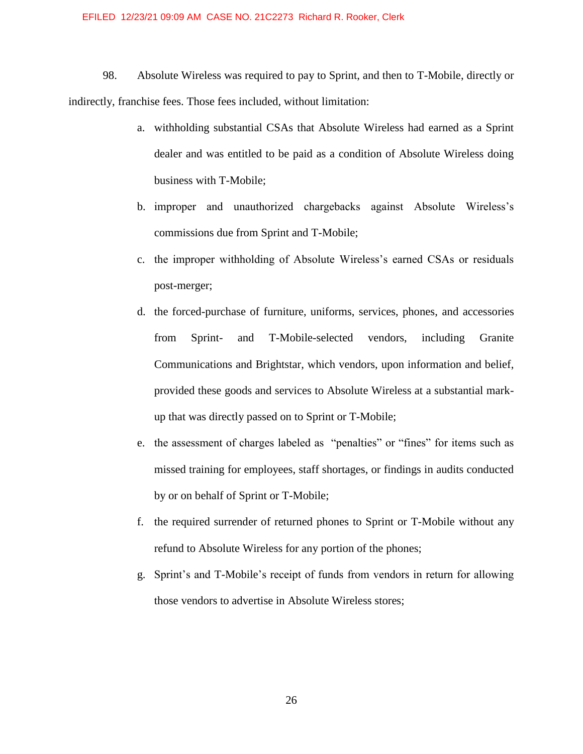98. Absolute Wireless was required to pay to Sprint, and then to T-Mobile, directly or indirectly, franchise fees. Those fees included, without limitation:

- a. withholding substantial CSAs that Absolute Wireless had earned as a Sprint dealer and was entitled to be paid as a condition of Absolute Wireless doing business with T-Mobile;
- b. improper and unauthorized chargebacks against Absolute Wireless's commissions due from Sprint and T-Mobile;
- c. the improper withholding of Absolute Wireless's earned CSAs or residuals post-merger;
- d. the forced-purchase of furniture, uniforms, services, phones, and accessories from Sprint- and T-Mobile-selected vendors, including Granite Communications and Brightstar, which vendors, upon information and belief, provided these goods and services to Absolute Wireless at a substantial markup that was directly passed on to Sprint or T-Mobile;
- e. the assessment of charges labeled as "penalties" or "fines" for items such as missed training for employees, staff shortages, or findings in audits conducted by or on behalf of Sprint or T-Mobile;
- f. the required surrender of returned phones to Sprint or T-Mobile without any refund to Absolute Wireless for any portion of the phones;
- g. Sprint's and T-Mobile's receipt of funds from vendors in return for allowing those vendors to advertise in Absolute Wireless stores;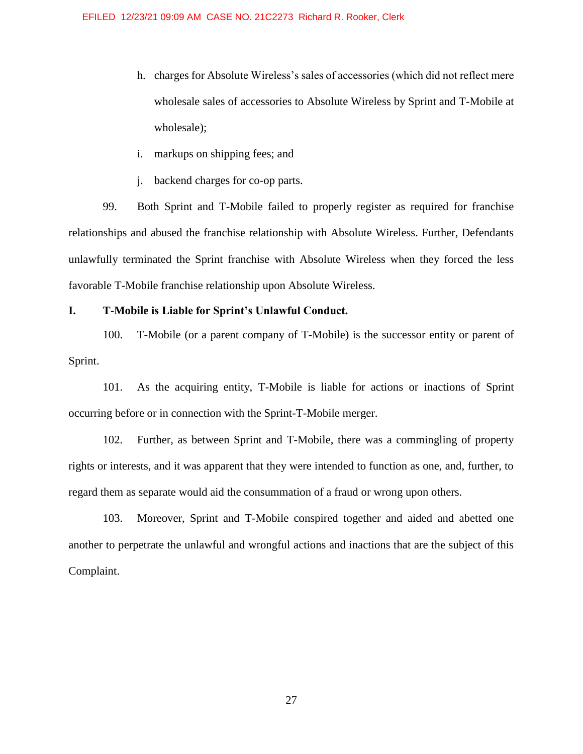- h. charges for Absolute Wireless's sales of accessories (which did not reflect mere wholesale sales of accessories to Absolute Wireless by Sprint and T-Mobile at wholesale);
- i. markups on shipping fees; and
- j. backend charges for co-op parts.

99. Both Sprint and T-Mobile failed to properly register as required for franchise relationships and abused the franchise relationship with Absolute Wireless. Further, Defendants unlawfully terminated the Sprint franchise with Absolute Wireless when they forced the less favorable T-Mobile franchise relationship upon Absolute Wireless.

# **I. T-Mobile is Liable for Sprint's Unlawful Conduct.**

100. T-Mobile (or a parent company of T-Mobile) is the successor entity or parent of Sprint.

101. As the acquiring entity, T-Mobile is liable for actions or inactions of Sprint occurring before or in connection with the Sprint-T-Mobile merger.

102. Further, as between Sprint and T-Mobile, there was a commingling of property rights or interests, and it was apparent that they were intended to function as one, and, further, to regard them as separate would aid the consummation of a fraud or wrong upon others.

103. Moreover, Sprint and T-Mobile conspired together and aided and abetted one another to perpetrate the unlawful and wrongful actions and inactions that are the subject of this Complaint.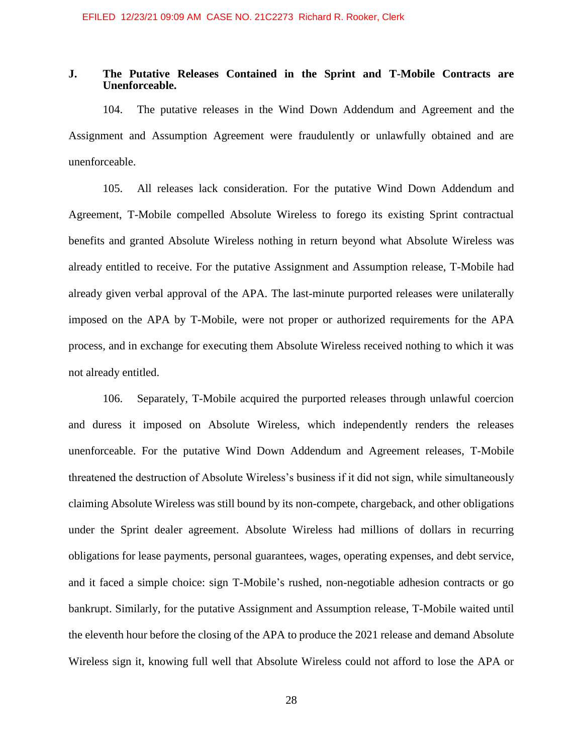# **J. The Putative Releases Contained in the Sprint and T-Mobile Contracts are Unenforceable.**

104. The putative releases in the Wind Down Addendum and Agreement and the Assignment and Assumption Agreement were fraudulently or unlawfully obtained and are unenforceable.

105. All releases lack consideration. For the putative Wind Down Addendum and Agreement, T-Mobile compelled Absolute Wireless to forego its existing Sprint contractual benefits and granted Absolute Wireless nothing in return beyond what Absolute Wireless was already entitled to receive. For the putative Assignment and Assumption release, T-Mobile had already given verbal approval of the APA. The last-minute purported releases were unilaterally imposed on the APA by T-Mobile, were not proper or authorized requirements for the APA process, and in exchange for executing them Absolute Wireless received nothing to which it was not already entitled.

106. Separately, T-Mobile acquired the purported releases through unlawful coercion and duress it imposed on Absolute Wireless, which independently renders the releases unenforceable. For the putative Wind Down Addendum and Agreement releases, T-Mobile threatened the destruction of Absolute Wireless's business if it did not sign, while simultaneously claiming Absolute Wireless was still bound by its non-compete, chargeback, and other obligations under the Sprint dealer agreement. Absolute Wireless had millions of dollars in recurring obligations for lease payments, personal guarantees, wages, operating expenses, and debt service, and it faced a simple choice: sign T-Mobile's rushed, non-negotiable adhesion contracts or go bankrupt. Similarly, for the putative Assignment and Assumption release, T-Mobile waited until the eleventh hour before the closing of the APA to produce the 2021 release and demand Absolute Wireless sign it, knowing full well that Absolute Wireless could not afford to lose the APA or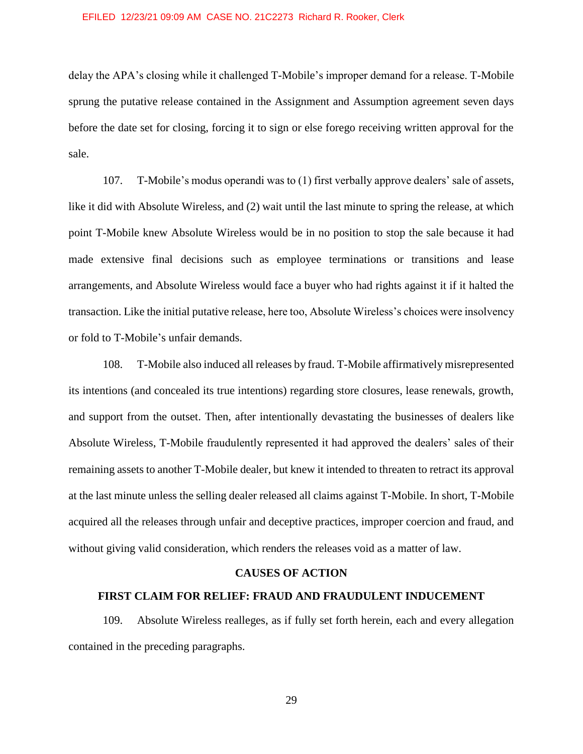delay the APA's closing while it challenged T-Mobile's improper demand for a release. T-Mobile sprung the putative release contained in the Assignment and Assumption agreement seven days before the date set for closing, forcing it to sign or else forego receiving written approval for the sale.

107. T-Mobile's modus operandi was to (1) first verbally approve dealers' sale of assets, like it did with Absolute Wireless, and (2) wait until the last minute to spring the release, at which point T-Mobile knew Absolute Wireless would be in no position to stop the sale because it had made extensive final decisions such as employee terminations or transitions and lease arrangements, and Absolute Wireless would face a buyer who had rights against it if it halted the transaction. Like the initial putative release, here too, Absolute Wireless's choices were insolvency or fold to T-Mobile's unfair demands.

108. T-Mobile also induced all releases by fraud. T-Mobile affirmatively misrepresented its intentions (and concealed its true intentions) regarding store closures, lease renewals, growth, and support from the outset. Then, after intentionally devastating the businesses of dealers like Absolute Wireless, T-Mobile fraudulently represented it had approved the dealers' sales of their remaining assets to another T-Mobile dealer, but knew it intended to threaten to retract its approval at the last minute unless the selling dealer released all claims against T-Mobile. In short, T-Mobile acquired all the releases through unfair and deceptive practices, improper coercion and fraud, and without giving valid consideration, which renders the releases void as a matter of law.

### **CAUSES OF ACTION**

### **FIRST CLAIM FOR RELIEF: FRAUD AND FRAUDULENT INDUCEMENT**

109. Absolute Wireless realleges, as if fully set forth herein, each and every allegation contained in the preceding paragraphs.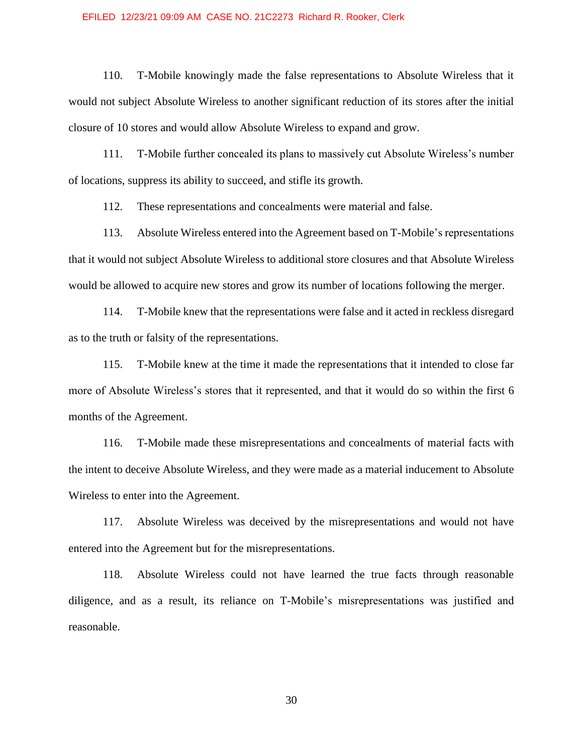110. T-Mobile knowingly made the false representations to Absolute Wireless that it would not subject Absolute Wireless to another significant reduction of its stores after the initial closure of 10 stores and would allow Absolute Wireless to expand and grow.

111. T-Mobile further concealed its plans to massively cut Absolute Wireless's number of locations, suppress its ability to succeed, and stifle its growth.

112. These representations and concealments were material and false.

113. Absolute Wireless entered into the Agreement based on T-Mobile's representations that it would not subject Absolute Wireless to additional store closures and that Absolute Wireless would be allowed to acquire new stores and grow its number of locations following the merger.

114. T-Mobile knew that the representations were false and it acted in reckless disregard as to the truth or falsity of the representations.

115. T-Mobile knew at the time it made the representations that it intended to close far more of Absolute Wireless's stores that it represented, and that it would do so within the first 6 months of the Agreement.

116. T-Mobile made these misrepresentations and concealments of material facts with the intent to deceive Absolute Wireless, and they were made as a material inducement to Absolute Wireless to enter into the Agreement.

117. Absolute Wireless was deceived by the misrepresentations and would not have entered into the Agreement but for the misrepresentations.

118. Absolute Wireless could not have learned the true facts through reasonable diligence, and as a result, its reliance on T-Mobile's misrepresentations was justified and reasonable.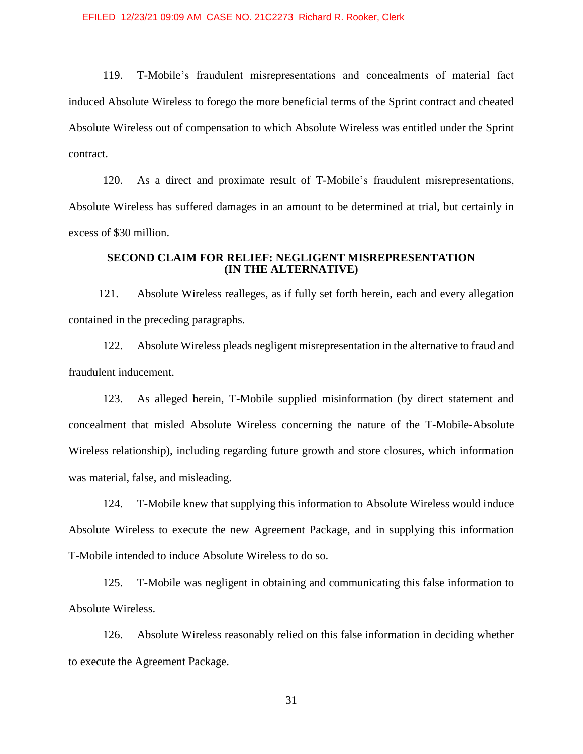119. T-Mobile's fraudulent misrepresentations and concealments of material fact induced Absolute Wireless to forego the more beneficial terms of the Sprint contract and cheated Absolute Wireless out of compensation to which Absolute Wireless was entitled under the Sprint contract.

120. As a direct and proximate result of T-Mobile's fraudulent misrepresentations, Absolute Wireless has suffered damages in an amount to be determined at trial, but certainly in excess of \$30 million.

# **SECOND CLAIM FOR RELIEF: NEGLIGENT MISREPRESENTATION (IN THE ALTERNATIVE)**

121. Absolute Wireless realleges, as if fully set forth herein, each and every allegation contained in the preceding paragraphs.

122. Absolute Wireless pleads negligent misrepresentation in the alternative to fraud and fraudulent inducement.

123. As alleged herein, T-Mobile supplied misinformation (by direct statement and concealment that misled Absolute Wireless concerning the nature of the T-Mobile-Absolute Wireless relationship), including regarding future growth and store closures, which information was material, false, and misleading.

124. T-Mobile knew that supplying this information to Absolute Wireless would induce Absolute Wireless to execute the new Agreement Package, and in supplying this information T-Mobile intended to induce Absolute Wireless to do so.

125. T-Mobile was negligent in obtaining and communicating this false information to Absolute Wireless.

126. Absolute Wireless reasonably relied on this false information in deciding whether to execute the Agreement Package.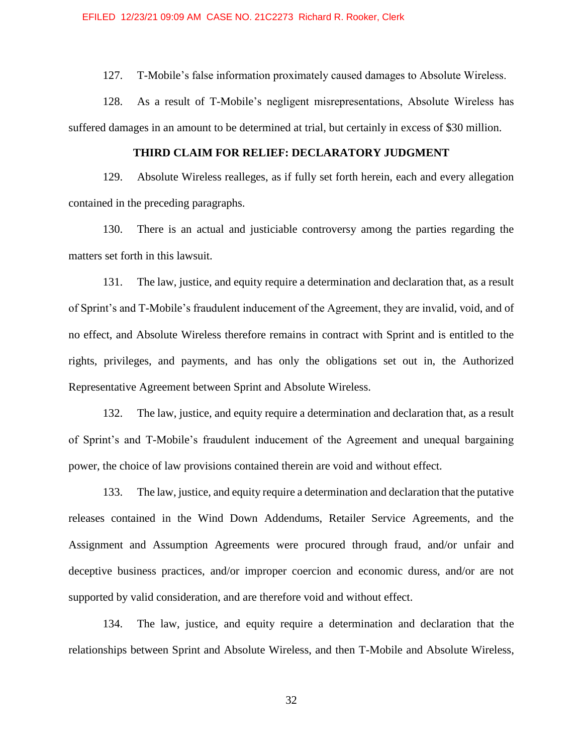127. T-Mobile's false information proximately caused damages to Absolute Wireless.

128. As a result of T-Mobile's negligent misrepresentations, Absolute Wireless has suffered damages in an amount to be determined at trial, but certainly in excess of \$30 million.

# **THIRD CLAIM FOR RELIEF: DECLARATORY JUDGMENT**

129. Absolute Wireless realleges, as if fully set forth herein, each and every allegation contained in the preceding paragraphs.

130. There is an actual and justiciable controversy among the parties regarding the matters set forth in this lawsuit.

131. The law, justice, and equity require a determination and declaration that, as a result of Sprint's and T-Mobile's fraudulent inducement of the Agreement, they are invalid, void, and of no effect, and Absolute Wireless therefore remains in contract with Sprint and is entitled to the rights, privileges, and payments, and has only the obligations set out in, the Authorized Representative Agreement between Sprint and Absolute Wireless.

132. The law, justice, and equity require a determination and declaration that, as a result of Sprint's and T-Mobile's fraudulent inducement of the Agreement and unequal bargaining power, the choice of law provisions contained therein are void and without effect.

133. The law, justice, and equity require a determination and declaration that the putative releases contained in the Wind Down Addendums, Retailer Service Agreements, and the Assignment and Assumption Agreements were procured through fraud, and/or unfair and deceptive business practices, and/or improper coercion and economic duress, and/or are not supported by valid consideration, and are therefore void and without effect.

134. The law, justice, and equity require a determination and declaration that the relationships between Sprint and Absolute Wireless, and then T-Mobile and Absolute Wireless,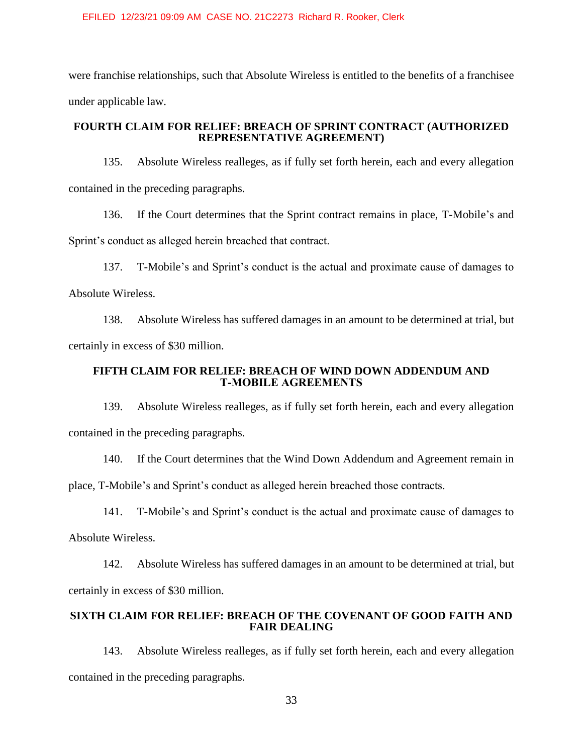were franchise relationships, such that Absolute Wireless is entitled to the benefits of a franchisee under applicable law.

# **FOURTH CLAIM FOR RELIEF: BREACH OF SPRINT CONTRACT (AUTHORIZED REPRESENTATIVE AGREEMENT)**

135. Absolute Wireless realleges, as if fully set forth herein, each and every allegation contained in the preceding paragraphs.

136. If the Court determines that the Sprint contract remains in place, T-Mobile's and Sprint's conduct as alleged herein breached that contract.

137. T-Mobile's and Sprint's conduct is the actual and proximate cause of damages to Absolute Wireless.

138. Absolute Wireless has suffered damages in an amount to be determined at trial, but certainly in excess of \$30 million.

## **FIFTH CLAIM FOR RELIEF: BREACH OF WIND DOWN ADDENDUM AND T‑MOBILE AGREEMENTS**

139. Absolute Wireless realleges, as if fully set forth herein, each and every allegation contained in the preceding paragraphs.

140. If the Court determines that the Wind Down Addendum and Agreement remain in

place, T-Mobile's and Sprint's conduct as alleged herein breached those contracts.

141. T-Mobile's and Sprint's conduct is the actual and proximate cause of damages to

Absolute Wireless.

142. Absolute Wireless has suffered damages in an amount to be determined at trial, but certainly in excess of \$30 million.

# **SIXTH CLAIM FOR RELIEF: BREACH OF THE COVENANT OF GOOD FAITH AND FAIR DEALING**

143. Absolute Wireless realleges, as if fully set forth herein, each and every allegation contained in the preceding paragraphs.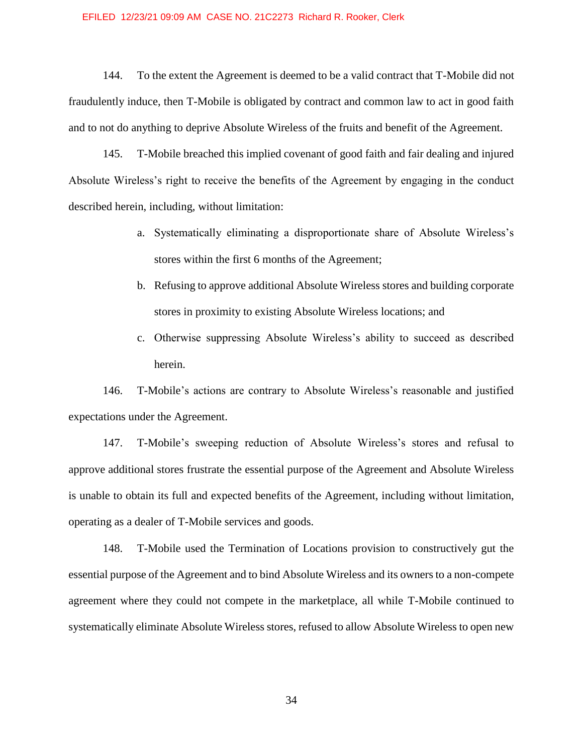144. To the extent the Agreement is deemed to be a valid contract that T-Mobile did not fraudulently induce, then T-Mobile is obligated by contract and common law to act in good faith and to not do anything to deprive Absolute Wireless of the fruits and benefit of the Agreement.

145. T-Mobile breached this implied covenant of good faith and fair dealing and injured Absolute Wireless's right to receive the benefits of the Agreement by engaging in the conduct described herein, including, without limitation:

- a. Systematically eliminating a disproportionate share of Absolute Wireless's stores within the first 6 months of the Agreement;
- b. Refusing to approve additional Absolute Wireless stores and building corporate stores in proximity to existing Absolute Wireless locations; and
- c. Otherwise suppressing Absolute Wireless's ability to succeed as described herein.

146. T-Mobile's actions are contrary to Absolute Wireless's reasonable and justified expectations under the Agreement.

147. T-Mobile's sweeping reduction of Absolute Wireless's stores and refusal to approve additional stores frustrate the essential purpose of the Agreement and Absolute Wireless is unable to obtain its full and expected benefits of the Agreement, including without limitation, operating as a dealer of T-Mobile services and goods.

148. T-Mobile used the Termination of Locations provision to constructively gut the essential purpose of the Agreement and to bind Absolute Wireless and its owners to a non-compete agreement where they could not compete in the marketplace, all while T-Mobile continued to systematically eliminate Absolute Wireless stores, refused to allow Absolute Wireless to open new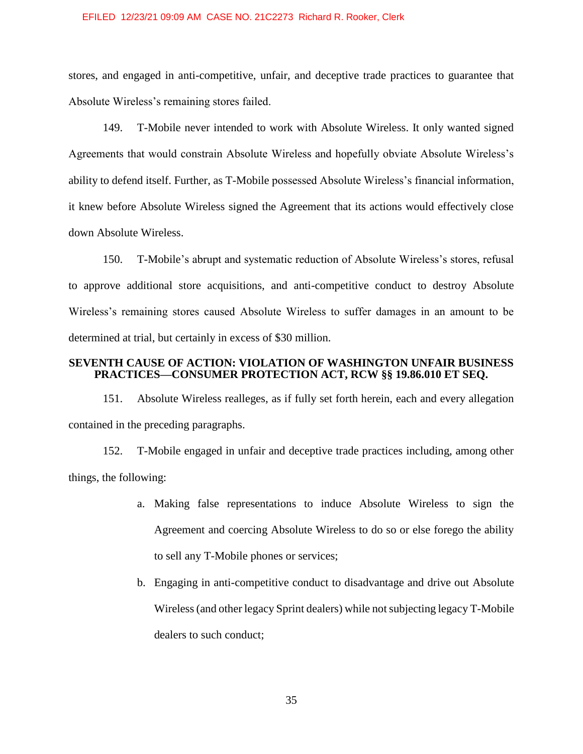stores, and engaged in anti-competitive, unfair, and deceptive trade practices to guarantee that Absolute Wireless's remaining stores failed.

149. T-Mobile never intended to work with Absolute Wireless. It only wanted signed Agreements that would constrain Absolute Wireless and hopefully obviate Absolute Wireless's ability to defend itself. Further, as T-Mobile possessed Absolute Wireless's financial information, it knew before Absolute Wireless signed the Agreement that its actions would effectively close down Absolute Wireless.

150. T-Mobile's abrupt and systematic reduction of Absolute Wireless's stores, refusal to approve additional store acquisitions, and anti-competitive conduct to destroy Absolute Wireless's remaining stores caused Absolute Wireless to suffer damages in an amount to be determined at trial, but certainly in excess of \$30 million.

### **SEVENTH CAUSE OF ACTION: VIOLATION OF WASHINGTON UNFAIR BUSINESS PRACTICES—CONSUMER PROTECTION ACT, RCW §§ 19.86.010 ET SEQ.**

151. Absolute Wireless realleges, as if fully set forth herein, each and every allegation contained in the preceding paragraphs.

152. T-Mobile engaged in unfair and deceptive trade practices including, among other things, the following:

- a. Making false representations to induce Absolute Wireless to sign the Agreement and coercing Absolute Wireless to do so or else forego the ability to sell any T-Mobile phones or services;
- b. Engaging in anti-competitive conduct to disadvantage and drive out Absolute Wireless (and other legacy Sprint dealers) while not subjecting legacy T-Mobile dealers to such conduct;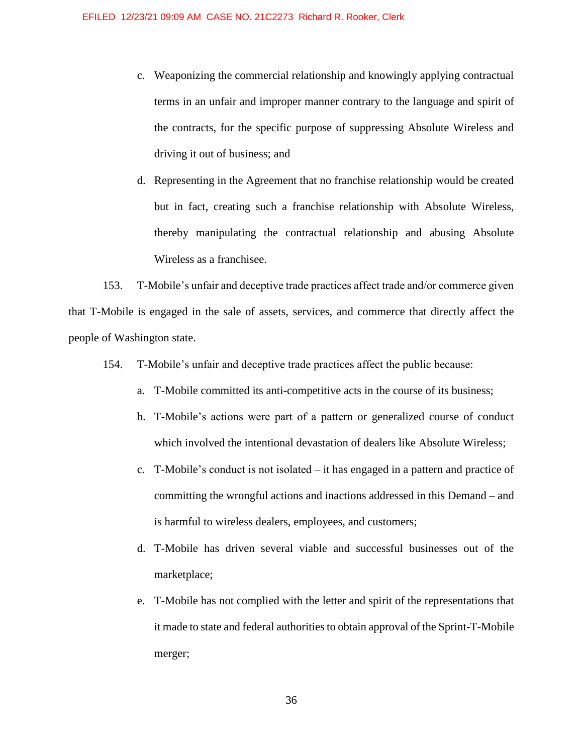c. Weaponizing the commercial relationship and knowingly applying contractual terms in an unfair and improper manner contrary to the language and spirit of the contracts, for the specific purpose of suppressing Absolute Wireless and driving it out of business; and

d. Representing in the Agreement that no franchise relationship would be created but in fact, creating such a franchise relationship with Absolute Wireless, thereby manipulating the contractual relationship and abusing Absolute Wireless as a franchisee.

153. T-Mobile's unfair and deceptive trade practices affect trade and/or commerce given that T-Mobile is engaged in the sale of assets, services, and commerce that directly affect the people of Washington state.

- 154. T-Mobile's unfair and deceptive trade practices affect the public because:
	- a. T-Mobile committed its anti-competitive acts in the course of its business;
	- b. T-Mobile's actions were part of a pattern or generalized course of conduct which involved the intentional devastation of dealers like Absolute Wireless;
	- c. T-Mobile's conduct is not isolated it has engaged in a pattern and practice of committing the wrongful actions and inactions addressed in this Demand – and is harmful to wireless dealers, employees, and customers;
	- d. T-Mobile has driven several viable and successful businesses out of the marketplace;
	- e. T-Mobile has not complied with the letter and spirit of the representations that it made to state and federal authorities to obtain approval of the Sprint-T-Mobile merger;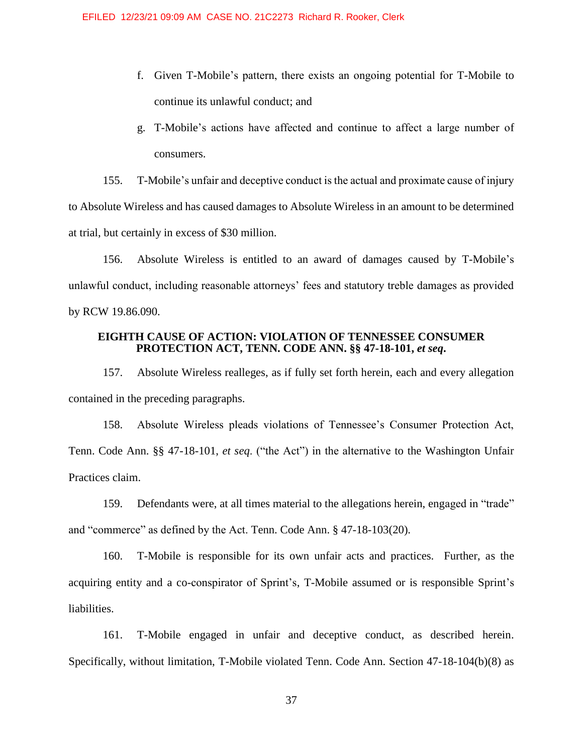- f. Given T-Mobile's pattern, there exists an ongoing potential for T-Mobile to continue its unlawful conduct; and
- g. T-Mobile's actions have affected and continue to affect a large number of consumers.

155. T-Mobile's unfair and deceptive conduct is the actual and proximate cause of injury to Absolute Wireless and has caused damages to Absolute Wireless in an amount to be determined at trial, but certainly in excess of \$30 million.

156. Absolute Wireless is entitled to an award of damages caused by T-Mobile's unlawful conduct, including reasonable attorneys' fees and statutory treble damages as provided by RCW 19.86.090.

# **EIGHTH CAUSE OF ACTION: VIOLATION OF TENNESSEE CONSUMER PROTECTION ACT, TENN. CODE ANN. §§ 47-18-101,** *et seq***.**

157. Absolute Wireless realleges, as if fully set forth herein, each and every allegation contained in the preceding paragraphs.

158. Absolute Wireless pleads violations of Tennessee's Consumer Protection Act, Tenn. Code Ann. §§ 47-18-101, *et seq*. ("the Act") in the alternative to the Washington Unfair Practices claim.

159. Defendants were, at all times material to the allegations herein, engaged in "trade" and "commerce" as defined by the Act. Tenn. Code Ann. § 47-18-103(20).

160. T-Mobile is responsible for its own unfair acts and practices. Further, as the acquiring entity and a co-conspirator of Sprint's, T-Mobile assumed or is responsible Sprint's liabilities.

161. T-Mobile engaged in unfair and deceptive conduct, as described herein. Specifically, without limitation, T-Mobile violated Tenn. Code Ann. Section 47-18-104(b)(8) as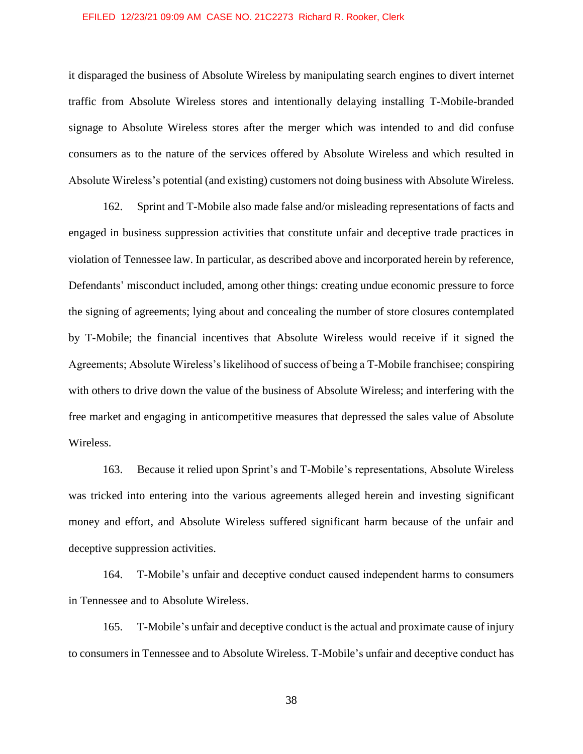it disparaged the business of Absolute Wireless by manipulating search engines to divert internet traffic from Absolute Wireless stores and intentionally delaying installing T-Mobile-branded signage to Absolute Wireless stores after the merger which was intended to and did confuse consumers as to the nature of the services offered by Absolute Wireless and which resulted in Absolute Wireless's potential (and existing) customers not doing business with Absolute Wireless.

162. Sprint and T-Mobile also made false and/or misleading representations of facts and engaged in business suppression activities that constitute unfair and deceptive trade practices in violation of Tennessee law. In particular, as described above and incorporated herein by reference, Defendants' misconduct included, among other things: creating undue economic pressure to force the signing of agreements; lying about and concealing the number of store closures contemplated by T-Mobile; the financial incentives that Absolute Wireless would receive if it signed the Agreements; Absolute Wireless's likelihood of success of being a T-Mobile franchisee; conspiring with others to drive down the value of the business of Absolute Wireless; and interfering with the free market and engaging in anticompetitive measures that depressed the sales value of Absolute Wireless.

163. Because it relied upon Sprint's and T-Mobile's representations, Absolute Wireless was tricked into entering into the various agreements alleged herein and investing significant money and effort, and Absolute Wireless suffered significant harm because of the unfair and deceptive suppression activities.

164. T-Mobile's unfair and deceptive conduct caused independent harms to consumers in Tennessee and to Absolute Wireless.

165. T-Mobile's unfair and deceptive conduct is the actual and proximate cause of injury to consumers in Tennessee and to Absolute Wireless. T-Mobile's unfair and deceptive conduct has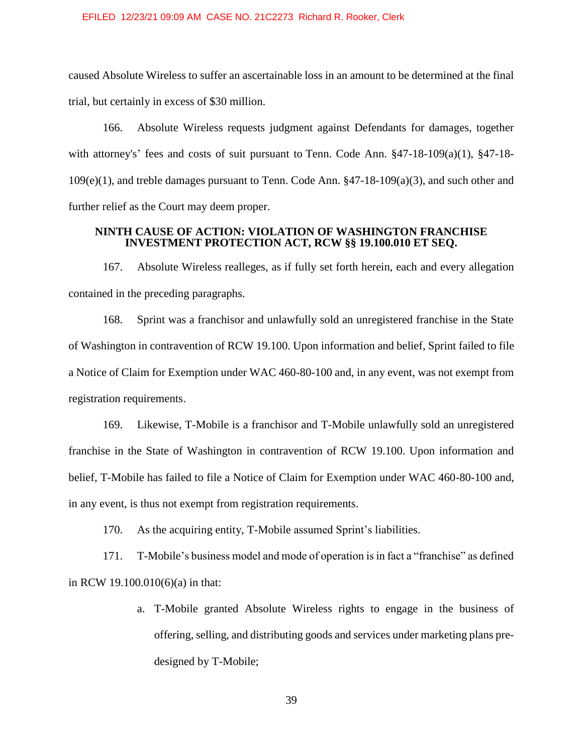caused Absolute Wireless to suffer an ascertainable loss in an amount to be determined at the final trial, but certainly in excess of \$30 million.

166. Absolute Wireless requests judgment against Defendants for damages, together with attorney's' fees and costs of suit pursuant to Tenn. Code Ann.  $\S 47-18-109(a)(1)$ ,  $\S 47-18-18$ 109(e)(1), and treble damages pursuant to Tenn. Code Ann. §47-18-109(a)(3), and such other and further relief as the Court may deem proper.

### **NINTH CAUSE OF ACTION: VIOLATION OF WASHINGTON FRANCHISE INVESTMENT PROTECTION ACT, RCW §§ 19.100.010 ET SEQ.**

167. Absolute Wireless realleges, as if fully set forth herein, each and every allegation contained in the preceding paragraphs.

168. Sprint was a franchisor and unlawfully sold an unregistered franchise in the State of Washington in contravention of RCW 19.100. Upon information and belief, Sprint failed to file a Notice of Claim for Exemption under WAC 460-80-100 and, in any event, was not exempt from registration requirements.

169. Likewise, T-Mobile is a franchisor and T-Mobile unlawfully sold an unregistered franchise in the State of Washington in contravention of RCW 19.100. Upon information and belief, T-Mobile has failed to file a Notice of Claim for Exemption under WAC 460-80-100 and, in any event, is thus not exempt from registration requirements.

170. As the acquiring entity, T-Mobile assumed Sprint's liabilities.

171. T-Mobile's business model and mode of operation is in fact a "franchise" as defined in RCW 19.100.010(6)(a) in that:

> a. T-Mobile granted Absolute Wireless rights to engage in the business of offering, selling, and distributing goods and services under marketing plans predesigned by T-Mobile;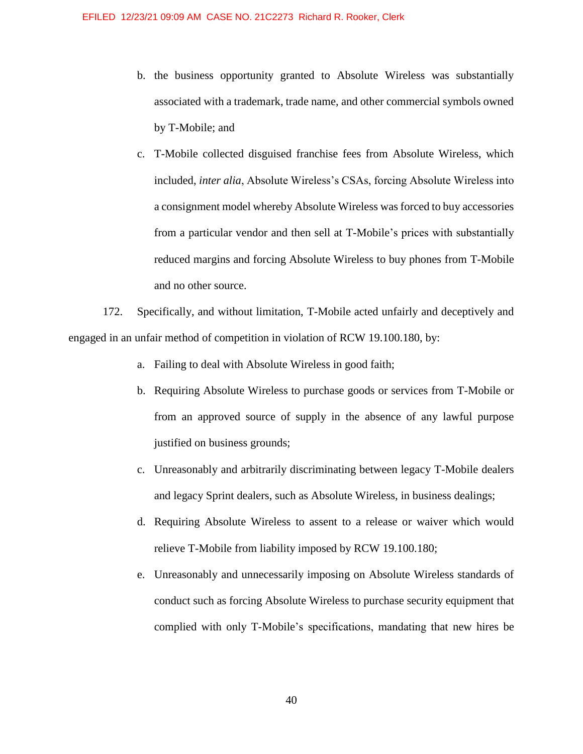- b. the business opportunity granted to Absolute Wireless was substantially associated with a trademark, trade name, and other commercial symbols owned by T-Mobile; and
- c. T-Mobile collected disguised franchise fees from Absolute Wireless, which included, *inter alia*, Absolute Wireless's CSAs, forcing Absolute Wireless into a consignment model whereby Absolute Wireless was forced to buy accessories from a particular vendor and then sell at T-Mobile's prices with substantially reduced margins and forcing Absolute Wireless to buy phones from T-Mobile and no other source.

172. Specifically, and without limitation, T-Mobile acted unfairly and deceptively and engaged in an unfair method of competition in violation of RCW 19.100.180, by:

- a. Failing to deal with Absolute Wireless in good faith;
- b. Requiring Absolute Wireless to purchase goods or services from T-Mobile or from an approved source of supply in the absence of any lawful purpose justified on business grounds;
- c. Unreasonably and arbitrarily discriminating between legacy T-Mobile dealers and legacy Sprint dealers, such as Absolute Wireless, in business dealings;
- d. Requiring Absolute Wireless to assent to a release or waiver which would relieve T-Mobile from liability imposed by RCW 19.100.180;
- e. Unreasonably and unnecessarily imposing on Absolute Wireless standards of conduct such as forcing Absolute Wireless to purchase security equipment that complied with only T-Mobile's specifications, mandating that new hires be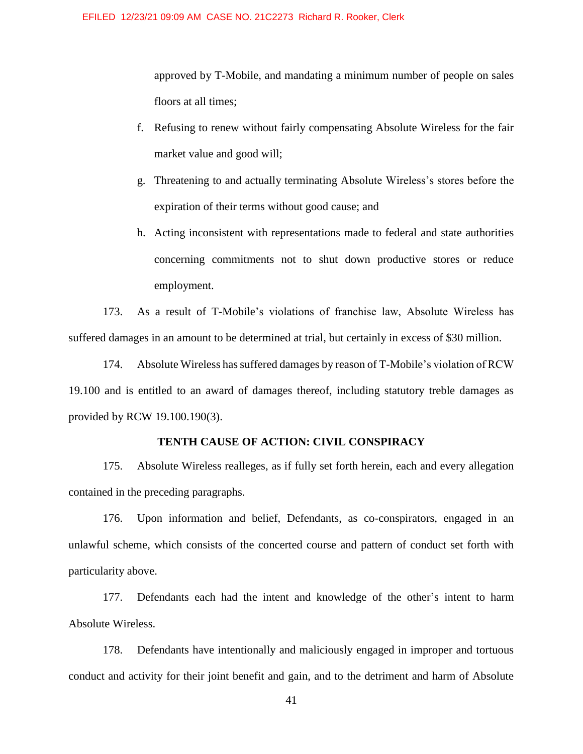approved by T-Mobile, and mandating a minimum number of people on sales floors at all times;

- f. Refusing to renew without fairly compensating Absolute Wireless for the fair market value and good will;
- g. Threatening to and actually terminating Absolute Wireless's stores before the expiration of their terms without good cause; and
- h. Acting inconsistent with representations made to federal and state authorities concerning commitments not to shut down productive stores or reduce employment.

173. As a result of T-Mobile's violations of franchise law, Absolute Wireless has suffered damages in an amount to be determined at trial, but certainly in excess of \$30 million.

174. Absolute Wireless has suffered damages by reason of T-Mobile's violation of RCW 19.100 and is entitled to an award of damages thereof, including statutory treble damages as provided by RCW 19.100.190(3).

# **TENTH CAUSE OF ACTION: CIVIL CONSPIRACY**

175. Absolute Wireless realleges, as if fully set forth herein, each and every allegation contained in the preceding paragraphs.

176. Upon information and belief, Defendants, as co-conspirators, engaged in an unlawful scheme, which consists of the concerted course and pattern of conduct set forth with particularity above.

177. Defendants each had the intent and knowledge of the other's intent to harm Absolute Wireless.

178. Defendants have intentionally and maliciously engaged in improper and tortuous conduct and activity for their joint benefit and gain, and to the detriment and harm of Absolute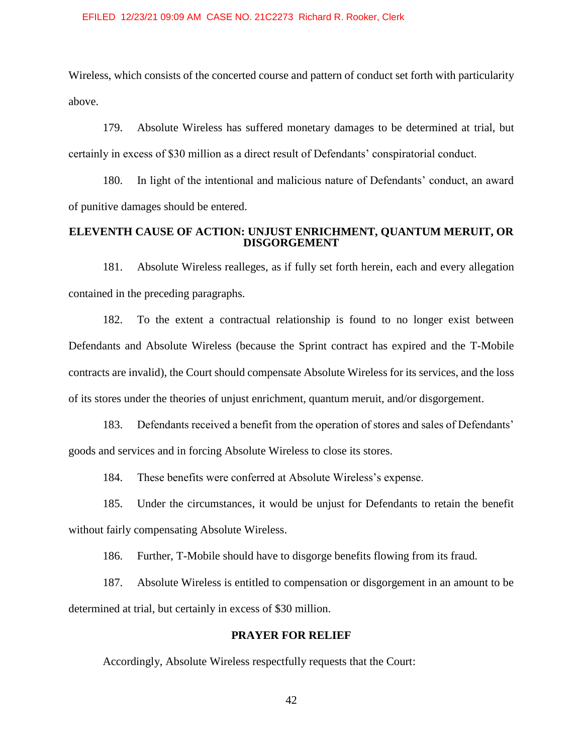Wireless, which consists of the concerted course and pattern of conduct set forth with particularity above.

179. Absolute Wireless has suffered monetary damages to be determined at trial, but certainly in excess of \$30 million as a direct result of Defendants' conspiratorial conduct.

180. In light of the intentional and malicious nature of Defendants' conduct, an award of punitive damages should be entered.

# **ELEVENTH CAUSE OF ACTION: UNJUST ENRICHMENT, QUANTUM MERUIT, OR DISGORGEMENT**

181. Absolute Wireless realleges, as if fully set forth herein, each and every allegation contained in the preceding paragraphs.

182. To the extent a contractual relationship is found to no longer exist between Defendants and Absolute Wireless (because the Sprint contract has expired and the T-Mobile contracts are invalid), the Court should compensate Absolute Wireless for its services, and the loss of its stores under the theories of unjust enrichment, quantum meruit, and/or disgorgement.

183. Defendants received a benefit from the operation of stores and sales of Defendants' goods and services and in forcing Absolute Wireless to close its stores.

184. These benefits were conferred at Absolute Wireless's expense.

185. Under the circumstances, it would be unjust for Defendants to retain the benefit without fairly compensating Absolute Wireless.

186. Further, T-Mobile should have to disgorge benefits flowing from its fraud.

187. Absolute Wireless is entitled to compensation or disgorgement in an amount to be determined at trial, but certainly in excess of \$30 million.

# **PRAYER FOR RELIEF**

Accordingly, Absolute Wireless respectfully requests that the Court: